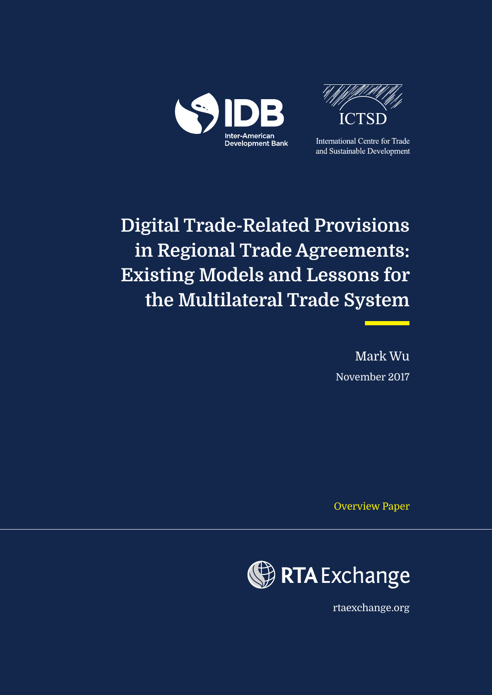



**International Centre for Trade** and Sustainable Development

# **Digital Trade-Related Provisions in Regional Trade Agreements: Existing Models and Lessons for the Multilateral Trade System**

Mark Wu November 2017

Overview Paper



rtaexchange.org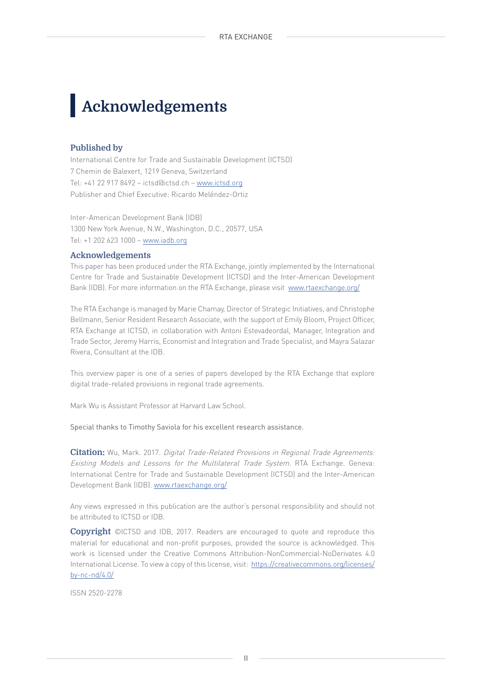# **Acknowledgements**

#### **Published by**

International Centre for Trade and Sustainable Development (ICTSD) 7 Chemin de Balexert, 1219 Geneva, Switzerland Tel: +41 22 917 8492 – ictsd@ictsd.ch – www.ictsd.org Publisher and Chief Executive: Ricardo Meléndez-Ortiz

Inter-American Development Bank (IDB) 1300 New York Avenue, N.W., Washington, D.C., 20577, USA Tel: +1 202 623 1000 – www.iadb.org

#### **Acknowledgements**

This paper has been produced under the RTA Exchange, jointly implemented by the International Centre for Trade and Sustainable Development (ICTSD) and the Inter-American Development Bank (IDB). For more information on the RTA Exchange, please visit [www.rtaexchange.org/](http://www.iadb.org)

The RTA Exchange is managed by Marie Chamay, Director of Strategic Initiatives, and Christophe Bellmann, Senior Resident Research Associate, with the support of Emily Bloom, Project Officer, RTA Exchange at ICTSD, in collaboration with Antoni Estevadeordal, Manager, Integration and Trade Sector, Jeremy Harris, Economist and Integration and Trade Specialist, and Mayra Salazar Rivera, Consultant at the IDB.

This overview paper is one of a series of papers developed by the RTA Exchange that explore digital trade-related provisions in regional trade agreements.

Mark Wu is Assistant Professor at Harvard Law School.

Special thanks to Timothy Saviola for his excellent research assistance.

**Citation:** Wu, Mark. 2017. Digital Trade-Related Provisions in Regional Trade Agreements: Existing Models and Lessons for the Multilateral Trade System. RTA Exchange. Geneva: International Centre for Trade and Sustainable Development (ICTSD) and the Inter-American Development Bank (IDB). www.rtaexchange.org/

Any views expressed in this publication are the author's personal responsibility and should not be attributed to ICTSD or IDB.

**Copyright** ©ICTSD and IDB, 2017. Readers are encouraged to quote and reproduce this material for educational and non-profit purposes, provided the source is acknowledged. This work is licensed under the Creative Commons Attribution-NonCommercial-NoDerivates 4.0 International License. To view a copy of this license, visit: [https://creativecommons.org/licenses/](http://www.fda.gov/bbs/topics/NEWS/2007/NEW01628.html) [by-nc-nd/4.0/](http://www.fda.gov/bbs/topics/NEWS/2007/NEW01628.html)

ISSN 2520-2278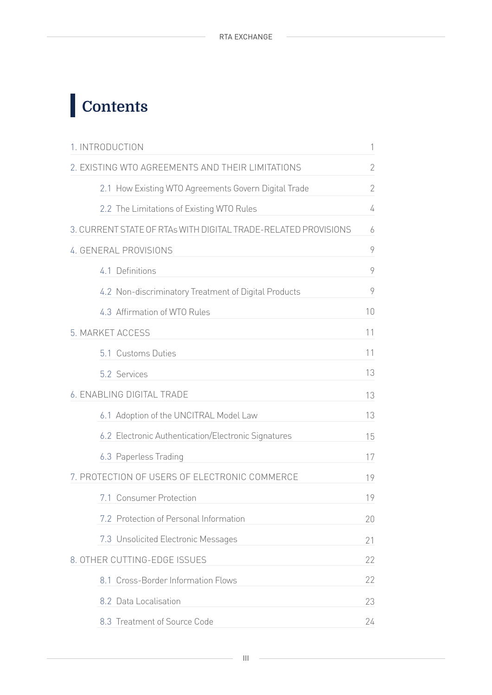# **Contents**

| 1. INTRODUCTION                                                | 1              |
|----------------------------------------------------------------|----------------|
| 2. EXISTING WTO AGREEMENTS AND THEIR LIMITATIONS               | $\sqrt{2}$     |
| 2.1 How Existing WTO Agreements Govern Digital Trade           | $\overline{2}$ |
| 2.2 The Limitations of Existing WTO Rules                      | 4              |
| 3. CURRENT STATE OF RTAs WITH DIGITAL TRADE-RELATED PROVISIONS | 6              |
| 4. GENERAL PROVISIONS                                          | 9              |
| 4.1 Definitions                                                | 9              |
| 4.2 Non-discriminatory Treatment of Digital Products           | 9              |
| 4.3 Affirmation of WTO Rules                                   | 10             |
| 5. MARKET ACCESS                                               | 11             |
| 5.1 Customs Duties                                             | 11             |
| 5.2 Services                                                   | 13             |
| 6. ENABLING DIGITAL TRADE                                      | 13             |
| 6.1 Adoption of the UNCITRAL Model Law                         | 13             |
| 6.2 Electronic Authentication/Electronic Signatures            | 15             |
| 6.3 Paperless Trading                                          | 17             |
| 7. PROTECTION OF USERS OF ELECTRONIC COMMERCE                  | 19             |
| 7.1 Consumer Protection                                        | 19             |
| 7.2 Protection of Personal Information                         | 20             |
| 7.3 Unsolicited Electronic Messages                            | 21             |
| 8. OTHER CUTTING-EDGE ISSUES                                   | 22             |
| 8.1 Cross-Border Information Flows                             | 22             |
| 8.2 Data Localisation                                          | 23             |
| 8.3 Treatment of Source Code                                   | 24             |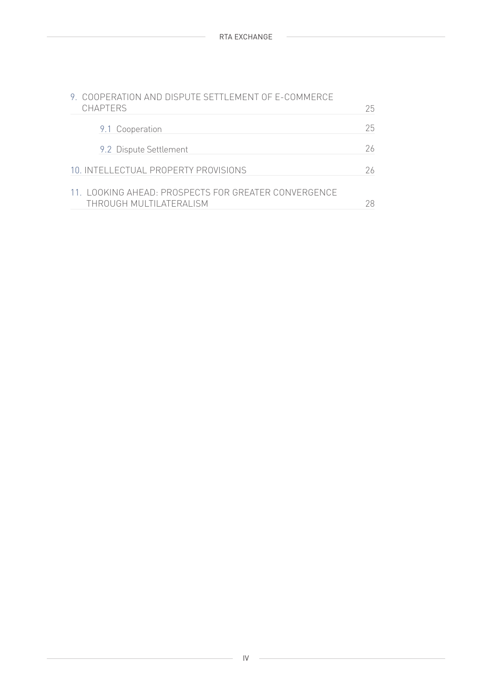| 9. COOPERATION AND DISPUTE SETTLEMENT OF E-COMMERCE<br><b>CHAPTERS</b>          | 25. |
|---------------------------------------------------------------------------------|-----|
| 9.1 Cooperation                                                                 | 25. |
| 9.2 Dispute Settlement                                                          | 26  |
| 10. INTELLECTUAL PROPERTY PROVISIONS                                            | 26  |
| 11. LOOKING AHEAD: PROSPECTS FOR GREATER CONVERGENCE<br>THROUGH MULTILATERALISM | 28  |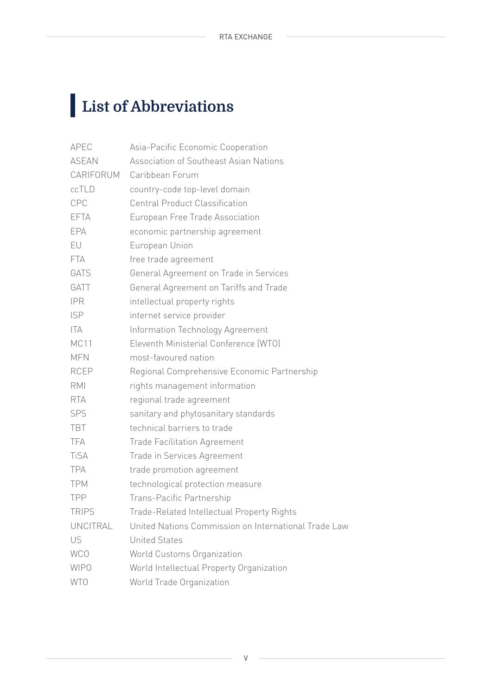# **List of Abbreviations**

| APEC             | Asia-Pacific Economic Cooperation                    |
|------------------|------------------------------------------------------|
| <b>ASEAN</b>     | Association of Southeast Asian Nations               |
| CARIFORUM        | Caribbean Forum                                      |
| ccTLD            | country-code top-level domain                        |
| CPC              | <b>Central Product Classification</b>                |
| <b>EFTA</b>      | European Free Trade Association                      |
| EPA              | economic partnership agreement                       |
| EU               | European Union                                       |
| <b>FTA</b>       | free trade agreement                                 |
| GATS             | General Agreement on Trade in Services               |
| GATT             | General Agreement on Tariffs and Trade               |
| <b>IPR</b>       | intellectual property rights                         |
| <b>ISP</b>       | internet service provider                            |
| ITA              | Information Technology Agreement                     |
| MC <sub>11</sub> | Eleventh Ministerial Conference (WTO)                |
| <b>MFN</b>       | most-favoured nation                                 |
| <b>RCEP</b>      | Regional Comprehensive Economic Partnership          |
| <b>RMI</b>       | rights management information                        |
| <b>RTA</b>       | regional trade agreement                             |
| SPS              | sanitary and phytosanitary standards                 |
| <b>TBT</b>       | technical barriers to trade                          |
| TFA              | <b>Trade Facilitation Agreement</b>                  |
| <b>TiSA</b>      | Trade in Services Agreement                          |
| <b>TPA</b>       | trade promotion agreement                            |
| <b>TPM</b>       | technological protection measure                     |
| <b>TPP</b>       | Trans-Pacific Partnership                            |
| <b>TRIPS</b>     | Trade-Related Intellectual Property Rights           |
| UNCITRAL         | United Nations Commission on International Trade Law |
| US               | <b>United States</b>                                 |
| <b>WCO</b>       | World Customs Organization                           |
| <b>WIPO</b>      | World Intellectual Property Organization             |
| <b>WTO</b>       | World Trade Organization                             |
|                  |                                                      |

V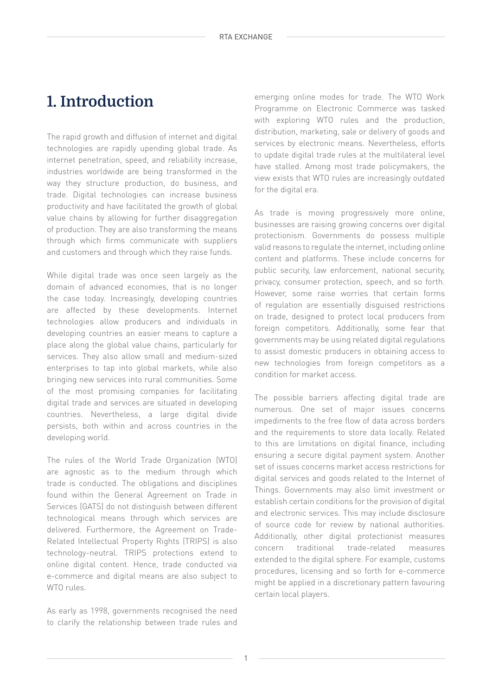## **1. Introduction**

The rapid growth and diffusion of internet and digital technologies are rapidly upending global trade. As internet penetration, speed, and reliability increase, industries worldwide are being transformed in the way they structure production, do business, and trade. Digital technologies can increase business productivity and have facilitated the growth of global value chains by allowing for further disaggregation of production. They are also transforming the means through which firms communicate with suppliers and customers and through which they raise funds.

While digital trade was once seen largely as the domain of advanced economies, that is no longer the case today. Increasingly, developing countries are affected by these developments. Internet technologies allow producers and individuals in developing countries an easier means to capture a place along the global value chains, particularly for services. They also allow small and medium-sized enterprises to tap into global markets, while also bringing new services into rural communities. Some of the most promising companies for facilitating digital trade and services are situated in developing countries. Nevertheless, a large digital divide persists, both within and across countries in the developing world.

The rules of the World Trade Organization (WTO) are agnostic as to the medium through which trade is conducted. The obligations and disciplines found within the General Agreement on Trade in Services (GATS) do not distinguish between different technological means through which services are delivered. Furthermore, the Agreement on Trade-Related Intellectual Property Rights (TRIPS) is also technology-neutral. TRIPS protections extend to online digital content. Hence, trade conducted via e-commerce and digital means are also subject to WTO rules.

As early as 1998, governments recognised the need to clarify the relationship between trade rules and emerging online modes for trade. The WTO Work Programme on Electronic Commerce was tasked with exploring WTO rules and the production, distribution, marketing, sale or delivery of goods and services by electronic means. Nevertheless, efforts to update digital trade rules at the multilateral level have stalled. Among most trade policymakers, the view exists that WTO rules are increasingly outdated for the digital era.

As trade is moving progressively more online, businesses are raising growing concerns over digital protectionism. Governments do possess multiple valid reasons to regulate the internet, including online content and platforms. These include concerns for public security, law enforcement, national security, privacy, consumer protection, speech, and so forth. However, some raise worries that certain forms of regulation are essentially disguised restrictions on trade, designed to protect local producers from foreign competitors. Additionally, some fear that governments may be using related digital regulations to assist domestic producers in obtaining access to new technologies from foreign competitors as a condition for market access.

The possible barriers affecting digital trade are numerous. One set of major issues concerns impediments to the free flow of data across borders and the requirements to store data locally. Related to this are limitations on digital finance, including ensuring a secure digital payment system. Another set of issues concerns market access restrictions for digital services and goods related to the Internet of Things. Governments may also limit investment or establish certain conditions for the provision of digital and electronic services. This may include disclosure of source code for review by national authorities. Additionally, other digital protectionist measures concern traditional trade-related measures extended to the digital sphere. For example, customs procedures, licensing and so forth for e-commerce might be applied in a discretionary pattern favouring certain local players.

1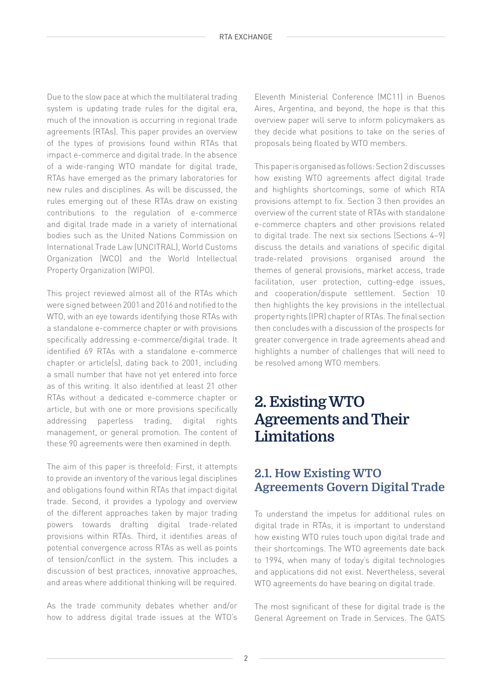Due to the slow pace at which the multilateral trading system is updating trade rules for the digital era, much of the innovation is occurring in regional trade agreements (RTAs). This paper provides an overview of the types of provisions found within RTAs that impact e-commerce and digital trade. In the absence of a wide-ranging WTO mandate for digital trade, RTAs have emerged as the primary laboratories for new rules and disciplines. As will be discussed, the rules emerging out of these RTAs draw on existing contributions to the regulation of e-commerce and digital trade made in a variety of international bodies such as the United Nations Commission on International Trade Law (UNCITRAL), World Customs Organization (WCO) and the World Intellectual Property Organization (WIPO).

This project reviewed almost all of the RTAs which were signed between 2001 and 2016 and notified to the WTO, with an eye towards identifying those RTAs with a standalone e-commerce chapter or with provisions specifically addressing e-commerce/digital trade. It identified 69 RTAs with a standalone e-commerce chapter or article(s), dating back to 2001, including a small number that have not yet entered into force as of this writing. It also identified at least 21 other RTAs without a dedicated e-commerce chapter or article, but with one or more provisions specifically addressing paperless trading, digital rights management, or general promotion. The content of these 90 agreements were then examined in depth.

The aim of this paper is threefold: First, it attempts to provide an inventory of the various legal disciplines and obligations found within RTAs that impact digital trade. Second, it provides a typology and overview of the different approaches taken by major trading powers towards drafting digital trade-related provisions within RTAs. Third, it identifies areas of potential convergence across RTAs as well as points of tension/conflict in the system. This includes a discussion of best practices, innovative approaches, and areas where additional thinking will be required.

As the trade community debates whether and/or how to address digital trade issues at the WTO's

Eleventh Ministerial Conference (MC11) in Buenos Aires, Argentina, and beyond, the hope is that this overview paper will serve to inform policymakers as they decide what positions to take on the series of proposals being floated by WTO members.

This paper is organised as follows: Section 2 discusses how existing WTO agreements affect digital trade and highlights shortcomings, some of which RTA provisions attempt to fix. Section 3 then provides an overview of the current state of RTAs with standalone e-commerce chapters and other provisions related to digital trade. The next six sections (Sections 4–9) discuss the details and variations of specific digital trade-related provisions organised around the themes of general provisions, market access, trade facilitation, user protection, cutting-edge issues, and cooperation/dispute settlement. Section 10 then highlights the key provisions in the intellectual property rights (IPR) chapter of RTAs. The final section then concludes with a discussion of the prospects for greater convergence in trade agreements ahead and highlights a number of challenges that will need to be resolved among WTO members.

## **2. Existing WTO Agreements and Their Limitations**

## **2.1. How Existing WTO Agreements Govern Digital Trade**

To understand the impetus for additional rules on digital trade in RTAs, it is important to understand how existing WTO rules touch upon digital trade and their shortcomings. The WTO agreements date back to 1994, when many of today's digital technologies and applications did not exist. Nevertheless, several WTO agreements do have bearing on digital trade.

The most significant of these for digital trade is the General Agreement on Trade in Services. The GATS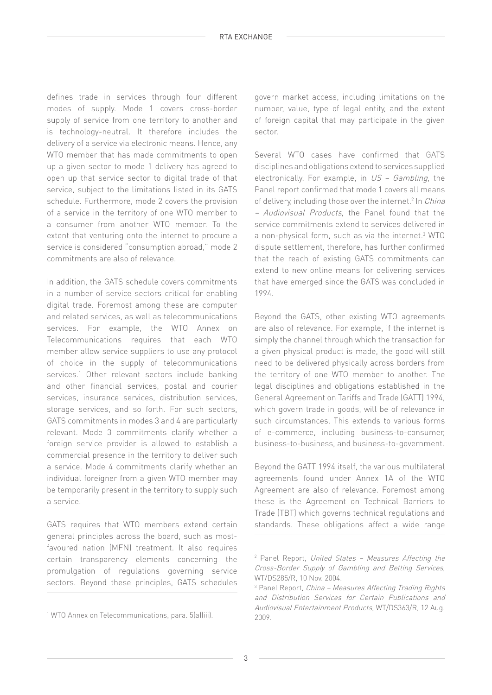defines trade in services through four different modes of supply. Mode 1 covers cross-border supply of service from one territory to another and is technology-neutral. It therefore includes the delivery of a service via electronic means. Hence, any WTO member that has made commitments to open up a given sector to mode 1 delivery has agreed to open up that service sector to digital trade of that service, subject to the limitations listed in its GATS schedule. Furthermore, mode 2 covers the provision of a service in the territory of one WTO member to a consumer from another WTO member. To the extent that venturing onto the internet to procure a service is considered "consumption abroad," mode 2 commitments are also of relevance.

In addition, the GATS schedule covers commitments in a number of service sectors critical for enabling digital trade. Foremost among these are computer and related services, as well as telecommunications services. For example, the WTO Annex on Telecommunications requires that each WTO member allow service suppliers to use any protocol of choice in the supply of telecommunications services.<sup>1</sup> Other relevant sectors include banking and other financial services, postal and courier services, insurance services, distribution services, storage services, and so forth. For such sectors, GATS commitments in modes 3 and 4 are particularly relevant. Mode 3 commitments clarify whether a foreign service provider is allowed to establish a commercial presence in the territory to deliver such a service. Mode 4 commitments clarify whether an individual foreigner from a given WTO member may be temporarily present in the territory to supply such a service.

GATS requires that WTO members extend certain general principles across the board, such as mostfavoured nation (MFN) treatment. It also requires certain transparency elements concerning the promulgation of regulations governing service sectors. Beyond these principles, GATS schedules

govern market access, including limitations on the number, value, type of legal entity, and the extent of foreign capital that may participate in the given sector.

Several WTO cases have confirmed that GATS disciplines and obligations extend to services supplied electronically. For example, in US – Gambling, the Panel report confirmed that mode 1 covers all means of delivery, including those over the internet.<sup>2</sup> In *China* – Audiovisual Products, the Panel found that the service commitments extend to services delivered in a non-physical form, such as via the internet.<sup>3</sup> WTO dispute settlement, therefore, has further confirmed that the reach of existing GATS commitments can extend to new online means for delivering services that have emerged since the GATS was concluded in 1994.

Beyond the GATS, other existing WTO agreements are also of relevance. For example, if the internet is simply the channel through which the transaction for a given physical product is made, the good will still need to be delivered physically across borders from the territory of one WTO member to another. The legal disciplines and obligations established in the General Agreement on Tariffs and Trade (GATT) 1994, which govern trade in goods, will be of relevance in such circumstances. This extends to various forms of e-commerce, including business-to-consumer, business-to-business, and business-to-government.

Beyond the GATT 1994 itself, the various multilateral agreements found under Annex 1A of the WTO Agreement are also of relevance. Foremost among these is the Agreement on Technical Barriers to Trade (TBT) which governs technical regulations and standards. These obligations affect a wide range

<sup>1</sup> WTO Annex on Telecommunications, para. 5(a)(iii).

<sup>&</sup>lt;sup>2</sup> Panel Report, United States - Measures Affecting the Cross-Border Supply of Gambling and Betting Services, WT/DS285/R, 10 Nov. 2004.

<sup>&</sup>lt;sup>3</sup> Panel Report, *China - Measures Affecting Trading Rights* and Distribution Services for Certain Publications and Audiovisual Entertainment Products, WT/DS363/R, 12 Aug. 2009.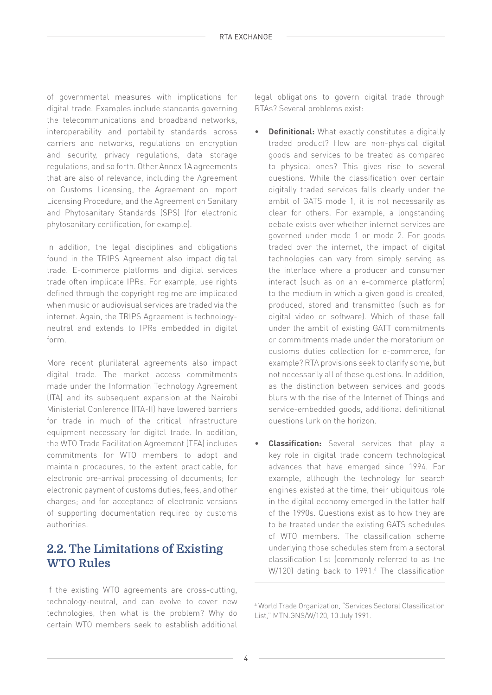of governmental measures with implications for digital trade. Examples include standards governing the telecommunications and broadband networks, interoperability and portability standards across carriers and networks, regulations on encryption and security, privacy regulations, data storage regulations, and so forth. Other Annex 1A agreements that are also of relevance, including the Agreement on Customs Licensing, the Agreement on Import Licensing Procedure, and the Agreement on Sanitary and Phytosanitary Standards (SPS) (for electronic phytosanitary certification, for example).

In addition, the legal disciplines and obligations found in the TRIPS Agreement also impact digital trade. E-commerce platforms and digital services trade often implicate IPRs. For example, use rights defined through the copyright regime are implicated when music or audiovisual services are traded via the internet. Again, the TRIPS Agreement is technologyneutral and extends to IPRs embedded in digital form.

More recent plurilateral agreements also impact digital trade. The market access commitments made under the Information Technology Agreement (ITA) and its subsequent expansion at the Nairobi Ministerial Conference (ITA-II) have lowered barriers for trade in much of the critical infrastructure equipment necessary for digital trade. In addition, the WTO Trade Facilitation Agreement (TFA) includes commitments for WTO members to adopt and maintain procedures, to the extent practicable, for electronic pre-arrival processing of documents; for electronic payment of customs duties, fees, and other charges; and for acceptance of electronic versions of supporting documentation required by customs authorities.

## **2.2. The Limitations of Existing WTO Rules**

If the existing WTO agreements are cross-cutting, technology-neutral, and can evolve to cover new technologies, then what is the problem? Why do certain WTO members seek to establish additional

legal obligations to govern digital trade through RTAs? Several problems exist:

- **Definitional:** What exactly constitutes a digitally traded product? How are non-physical digital goods and services to be treated as compared to physical ones? This gives rise to several questions. While the classification over certain digitally traded services falls clearly under the ambit of GATS mode 1, it is not necessarily as clear for others. For example, a longstanding debate exists over whether internet services are governed under mode 1 or mode 2. For goods traded over the internet, the impact of digital technologies can vary from simply serving as the interface where a producer and consumer interact (such as on an e-commerce platform) to the medium in which a given good is created, produced, stored and transmitted (such as for digital video or software). Which of these fall under the ambit of existing GATT commitments or commitments made under the moratorium on customs duties collection for e-commerce, for example? RTA provisions seek to clarify some, but not necessarily all of these questions. In addition, as the distinction between services and goods blurs with the rise of the Internet of Things and service-embedded goods, additional definitional questions lurk on the horizon.
- **Classification:** Several services that play a key role in digital trade concern technological advances that have emerged since 1994. For example, although the technology for search engines existed at the time, their ubiquitous role in the digital economy emerged in the latter half of the 1990s. Questions exist as to how they are to be treated under the existing GATS schedules of WTO members. The classification scheme underlying those schedules stem from a sectoral classification list (commonly referred to as the W/120) dating back to 1991.4 The classification

4 World Trade Organization, "Services Sectoral Classification List," MTN.GNS/W/120, 10 July 1991.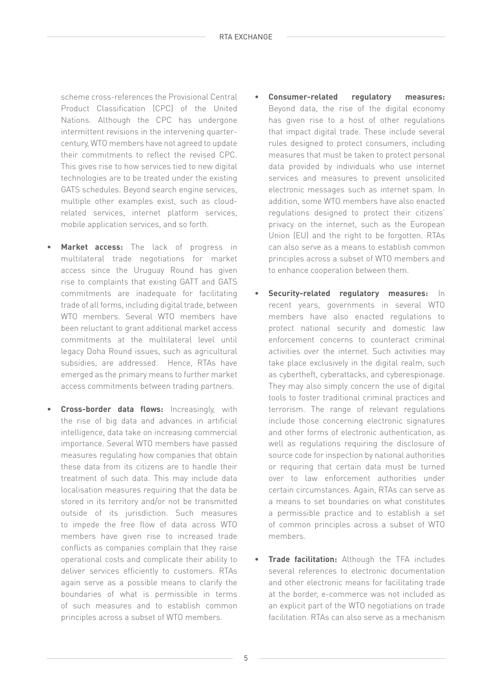scheme cross-references the Provisional Central Product Classification (CPC) of the United Nations. Although the CPC has undergone intermittent revisions in the intervening quartercentury, WTO members have not agreed to update their commitments to reflect the revised CPC. This gives rise to how services tied to new digital technologies are to be treated under the existing GATS schedules. Beyond search engine services, multiple other examples exist, such as cloudrelated services, internet platform services, mobile application services, and so forth.

- **Market access:** The lack of progress in multilateral trade negotiations for market access since the Uruguay Round has given rise to complaints that existing GATT and GATS commitments are inadequate for facilitating trade of all forms, including digital trade, between WTO members. Several WTO members have been reluctant to grant additional market access commitments at the multilateral level until legacy Doha Round issues, such as agricultural subsidies, are addressed. Hence, RTAs have emerged as the primary means to further market access commitments between trading partners.
- **Cross-border data flows:** Increasingly, with the rise of big data and advances in artificial intelligence, data take on increasing commercial importance. Several WTO members have passed measures regulating how companies that obtain these data from its citizens are to handle their treatment of such data. This may include data localisation measures requiring that the data be stored in its territory and/or not be transmitted outside of its jurisdiction. Such measures to impede the free flow of data across WTO members have given rise to increased trade conflicts as companies complain that they raise operational costs and complicate their ability to deliver services efficiently to customers. RTAs again serve as a possible means to clarify the boundaries of what is permissible in terms of such measures and to establish common principles across a subset of WTO members.
- **Consumer-related regulatory measures:**  Beyond data, the rise of the digital economy has given rise to a host of other regulations that impact digital trade. These include several rules designed to protect consumers, including measures that must be taken to protect personal data provided by individuals who use internet services and measures to prevent unsolicited electronic messages such as internet spam. In addition, some WTO members have also enacted regulations designed to protect their citizens' privacy on the internet, such as the European Union (EU) and the right to be forgotten. RTAs can also serve as a means to establish common principles across a subset of WTO members and to enhance cooperation between them.
- **Security-related regulatory measures:** In recent years, governments in several WTO members have also enacted regulations to protect national security and domestic law enforcement concerns to counteract criminal activities over the internet. Such activities may take place exclusively in the digital realm, such as cybertheft, cyberattacks, and cyberespionage. They may also simply concern the use of digital tools to foster traditional criminal practices and terrorism. The range of relevant regulations include those concerning electronic signatures and other forms of electronic authentication, as well as regulations requiring the disclosure of source code for inspection by national authorities or requiring that certain data must be turned over to law enforcement authorities under certain circumstances. Again, RTAs can serve as a means to set boundaries on what constitutes a permissible practice and to establish a set of common principles across a subset of WTO members.
- **Trade facilitation:** Although the TFA includes several references to electronic documentation and other electronic means for facilitating trade at the border, e-commerce was not included as an explicit part of the WTO negotiations on trade facilitation. RTAs can also serve as a mechanism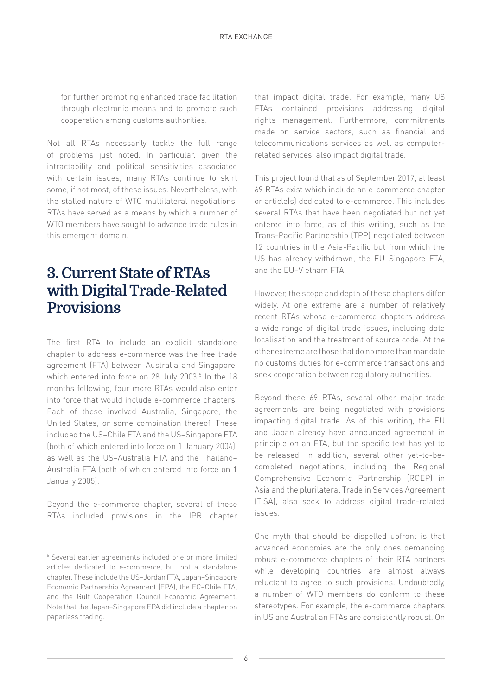for further promoting enhanced trade facilitation through electronic means and to promote such cooperation among customs authorities.

Not all RTAs necessarily tackle the full range of problems just noted. In particular, given the intractability and political sensitivities associated with certain issues, many RTAs continue to skirt some, if not most, of these issues. Nevertheless, with the stalled nature of WTO multilateral negotiations, RTAs have served as a means by which a number of WTO members have sought to advance trade rules in this emergent domain.

## **3. Current State of RTAs with Digital Trade-Related Provisions**

The first RTA to include an explicit standalone chapter to address e-commerce was the free trade agreement (FTA) between Australia and Singapore, which entered into force on 28 July 2003.<sup>5</sup> In the 18 months following, four more RTAs would also enter into force that would include e-commerce chapters. Each of these involved Australia, Singapore, the United States, or some combination thereof. These included the US–Chile FTA and the US–Singapore FTA (both of which entered into force on 1 January 2004), as well as the US–Australia FTA and the Thailand– Australia FTA (both of which entered into force on 1 January 2005).

Beyond the e-commerce chapter, several of these RTAs included provisions in the IPR chapter that impact digital trade. For example, many US FTAs contained provisions addressing digital rights management. Furthermore, commitments made on service sectors, such as financial and telecommunications services as well as computerrelated services, also impact digital trade.

This project found that as of September 2017, at least 69 RTAs exist which include an e-commerce chapter or article(s) dedicated to e-commerce. This includes several RTAs that have been negotiated but not yet entered into force, as of this writing, such as the Trans-Pacific Partnership (TPP) negotiated between 12 countries in the Asia-Pacific but from which the US has already withdrawn, the EU–Singapore FTA, and the EU–Vietnam FTA.

However, the scope and depth of these chapters differ widely. At one extreme are a number of relatively recent RTAs whose e-commerce chapters address a wide range of digital trade issues, including data localisation and the treatment of source code. At the other extreme are those that do no more than mandate no customs duties for e-commerce transactions and seek cooperation between regulatory authorities.

Beyond these 69 RTAs, several other major trade agreements are being negotiated with provisions impacting digital trade. As of this writing, the EU and Japan already have announced agreement in principle on an FTA, but the specific text has yet to be released. In addition, several other yet-to-becompleted negotiations, including the Regional Comprehensive Economic Partnership (RCEP) in Asia and the plurilateral Trade in Services Agreement (TiSA), also seek to address digital trade-related issues.

One myth that should be dispelled upfront is that advanced economies are the only ones demanding robust e-commerce chapters of their RTA partners while developing countries are almost always reluctant to agree to such provisions. Undoubtedly, a number of WTO members do conform to these stereotypes. For example, the e-commerce chapters in US and Australian FTAs are consistently robust. On

<sup>&</sup>lt;sup>5</sup> Several earlier agreements included one or more limited articles dedicated to e-commerce, but not a standalone chapter. These include the US–Jordan FTA, Japan–Singapore Economic Partnership Agreement (EPA), the EC–Chile FTA, and the Gulf Cooperation Council Economic Agreement. Note that the Japan–Singapore EPA did include a chapter on paperless trading.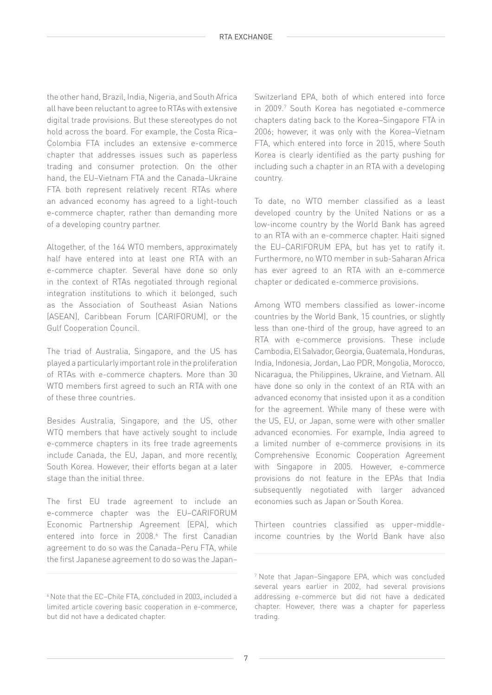the other hand, Brazil, India, Nigeria, and South Africa all have been reluctant to agree to RTAs with extensive digital trade provisions. But these stereotypes do not hold across the board. For example, the Costa Rica– Colombia FTA includes an extensive e-commerce chapter that addresses issues such as paperless trading and consumer protection. On the other hand, the EU–Vietnam FTA and the Canada–Ukraine FTA both represent relatively recent RTAs where an advanced economy has agreed to a light-touch e-commerce chapter, rather than demanding more of a developing country partner.

Altogether, of the 164 WTO members, approximately half have entered into at least one RTA with an e-commerce chapter. Several have done so only in the context of RTAs negotiated through regional integration institutions to which it belonged, such as the Association of Southeast Asian Nations (ASEAN), Caribbean Forum (CARIFORUM), or the Gulf Cooperation Council.

The triad of Australia, Singapore, and the US has played a particularly important role in the proliferation of RTAs with e-commerce chapters. More than 30 WTO members first agreed to such an RTA with one of these three countries.

Besides Australia, Singapore, and the US, other WTO members that have actively sought to include e-commerce chapters in its free trade agreements include Canada, the EU, Japan, and more recently, South Korea. However, their efforts began at a later stage than the initial three.

The first EU trade agreement to include an e-commerce chapter was the EU–CARIFORUM Economic Partnership Agreement (EPA), which entered into force in 2008.<sup>6</sup> The first Canadian agreement to do so was the Canada–Peru FTA, while the first Japanese agreement to do so was the Japan–

Switzerland EPA, both of which entered into force in 2009.7 South Korea has negotiated e-commerce chapters dating back to the Korea–Singapore FTA in 2006; however, it was only with the Korea–Vietnam FTA, which entered into force in 2015, where South Korea is clearly identified as the party pushing for including such a chapter in an RTA with a developing country.

To date, no WTO member classified as a least developed country by the United Nations or as a low-income country by the World Bank has agreed to an RTA with an e-commerce chapter. Haiti signed the EU–CARIFORUM EPA, but has yet to ratify it. Furthermore, no WTO member in sub-Saharan Africa has ever agreed to an RTA with an e-commerce chapter or dedicated e-commerce provisions.

Among WTO members classified as lower-income countries by the World Bank, 15 countries, or slightly less than one-third of the group, have agreed to an RTA with e-commerce provisions. These include Cambodia, El Salvador, Georgia, Guatemala, Honduras, India, Indonesia, Jordan, Lao PDR, Mongolia, Morocco, Nicaragua, the Philippines, Ukraine, and Vietnam. All have done so only in the context of an RTA with an advanced economy that insisted upon it as a condition for the agreement. While many of these were with the US, EU, or Japan, some were with other smaller advanced economies. For example, India agreed to a limited number of e-commerce provisions in its Comprehensive Economic Cooperation Agreement with Singapore in 2005. However, e-commerce provisions do not feature in the EPAs that India subsequently negotiated with larger advanced economies such as Japan or South Korea.

Thirteen countries classified as upper-middleincome countries by the World Bank have also

<sup>6</sup> Note that the EC–Chile FTA, concluded in 2003, included a limited article covering basic cooperation in e-commerce, but did not have a dedicated chapter.

<sup>7</sup> Note that Japan–Singapore EPA, which was concluded several years earlier in 2002, had several provisions addressing e-commerce but did not have a dedicated chapter. However, there was a chapter for paperless trading.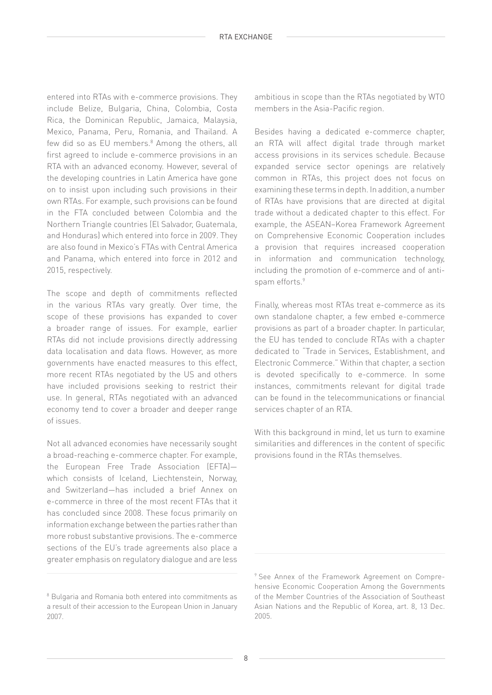entered into RTAs with e-commerce provisions. They include Belize, Bulgaria, China, Colombia, Costa Rica, the Dominican Republic, Jamaica, Malaysia, Mexico, Panama, Peru, Romania, and Thailand. A few did so as EU members.<sup>8</sup> Among the others, all first agreed to include e-commerce provisions in an RTA with an advanced economy. However, several of the developing countries in Latin America have gone on to insist upon including such provisions in their own RTAs. For example, such provisions can be found in the FTA concluded between Colombia and the Northern Triangle countries (El Salvador, Guatemala, and Honduras) which entered into force in 2009. They are also found in Mexico's FTAs with Central America and Panama, which entered into force in 2012 and 2015, respectively.

The scope and depth of commitments reflected in the various RTAs vary greatly. Over time, the scope of these provisions has expanded to cover a broader range of issues. For example, earlier RTAs did not include provisions directly addressing data localisation and data flows. However, as more governments have enacted measures to this effect, more recent RTAs negotiated by the US and others have included provisions seeking to restrict their use. In general, RTAs negotiated with an advanced economy tend to cover a broader and deeper range of issues.

Not all advanced economies have necessarily sought a broad-reaching e-commerce chapter. For example, the European Free Trade Association (EFTA) which consists of Iceland, Liechtenstein, Norway, and Switzerland—has included a brief Annex on e-commerce in three of the most recent FTAs that it has concluded since 2008. These focus primarily on information exchange between the parties rather than more robust substantive provisions. The e-commerce sections of the EU's trade agreements also place a greater emphasis on regulatory dialogue and are less

ambitious in scope than the RTAs negotiated by WTO members in the Asia-Pacific region.

Besides having a dedicated e-commerce chapter, an RTA will affect digital trade through market access provisions in its services schedule. Because expanded service sector openings are relatively common in RTAs, this project does not focus on examining these terms in depth. In addition, a number of RTAs have provisions that are directed at digital trade without a dedicated chapter to this effect. For example, the ASEAN–Korea Framework Agreement on Comprehensive Economic Cooperation includes a provision that requires increased cooperation in information and communication technology, including the promotion of e-commerce and of antispam efforts.9

Finally, whereas most RTAs treat e-commerce as its own standalone chapter, a few embed e-commerce provisions as part of a broader chapter. In particular, the EU has tended to conclude RTAs with a chapter dedicated to "Trade in Services, Establishment, and Electronic Commerce." Within that chapter, a section is devoted specifically to e-commerce. In some instances, commitments relevant for digital trade can be found in the telecommunications or financial services chapter of an RTA.

With this background in mind, let us turn to examine similarities and differences in the content of specific provisions found in the RTAs themselves.

<sup>&</sup>lt;sup>8</sup> Bulgaria and Romania both entered into commitments as a result of their accession to the European Union in January 2007.

<sup>9</sup> See Annex of the Framework Agreement on Comprehensive Economic Cooperation Among the Governments of the Member Countries of the Association of Southeast Asian Nations and the Republic of Korea, art. 8, 13 Dec. 2005.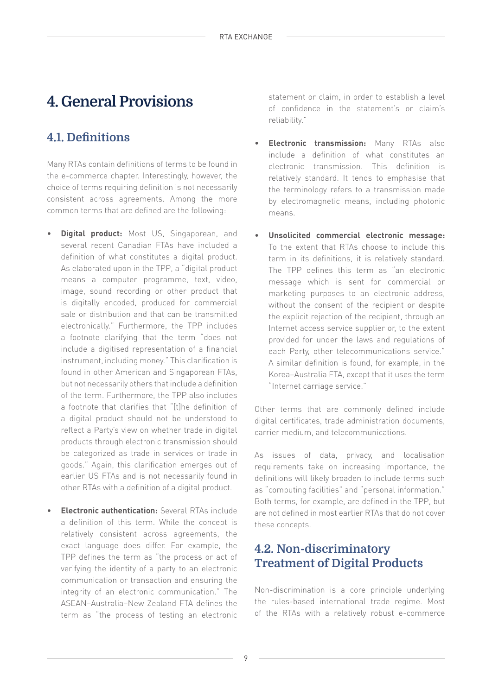## **4.1. Definitions**

Many RTAs contain definitions of terms to be found in the e-commerce chapter. Interestingly, however, the choice of terms requiring definition is not necessarily consistent across agreements. Among the more common terms that are defined are the following:

- **Digital product:** Most US, Singaporean, and several recent Canadian FTAs have included a definition of what constitutes a digital product. As elaborated upon in the TPP, a "digital product means a computer programme, text, video, image, sound recording or other product that is digitally encoded, produced for commercial sale or distribution and that can be transmitted electronically." Furthermore, the TPP includes a footnote clarifying that the term "does not include a digitised representation of a financial instrument, including money." This clarification is found in other American and Singaporean FTAs, but not necessarily others that include a definition of the term. Furthermore, the TPP also includes a footnote that clarifies that "[t]he definition of a digital product should not be understood to reflect a Party's view on whether trade in digital products through electronic transmission should be categorized as trade in services or trade in goods." Again, this clarification emerges out of earlier US FTAs and is not necessarily found in other RTAs with a definition of a digital product.
- **Electronic authentication:** Several RTAs include a definition of this term. While the concept is relatively consistent across agreements, the exact language does differ. For example, the TPP defines the term as "the process or act of verifying the identity of a party to an electronic communication or transaction and ensuring the integrity of an electronic communication." The ASEAN–Australia–New Zealand FTA defines the term as "the process of testing an electronic

**4. General Provisions** statement or claim, in order to establish a level of confidence in the statement's or claim's reliability."

- **Electronic transmission:** Many RTAs also include a definition of what constitutes an electronic transmission. This definition is relatively standard. It tends to emphasise that the terminology refers to a transmission made by electromagnetic means, including photonic means.
- **Unsolicited commercial electronic message:** To the extent that RTAs choose to include this term in its definitions, it is relatively standard. The TPP defines this term as "an electronic message which is sent for commercial or marketing purposes to an electronic address, without the consent of the recipient or despite the explicit rejection of the recipient, through an Internet access service supplier or, to the extent provided for under the laws and regulations of each Party, other telecommunications service." A similar definition is found, for example, in the Korea–Australia FTA, except that it uses the term "Internet carriage service."

Other terms that are commonly defined include digital certificates, trade administration documents, carrier medium, and telecommunications.

As issues of data, privacy, and localisation requirements take on increasing importance, the definitions will likely broaden to include terms such as "computing facilities" and "personal information." Both terms, for example, are defined in the TPP, but are not defined in most earlier RTAs that do not cover these concepts.

## **4.2. Non-discriminatory Treatment of Digital Products**

Non-discrimination is a core principle underlying the rules-based international trade regime. Most of the RTAs with a relatively robust e-commerce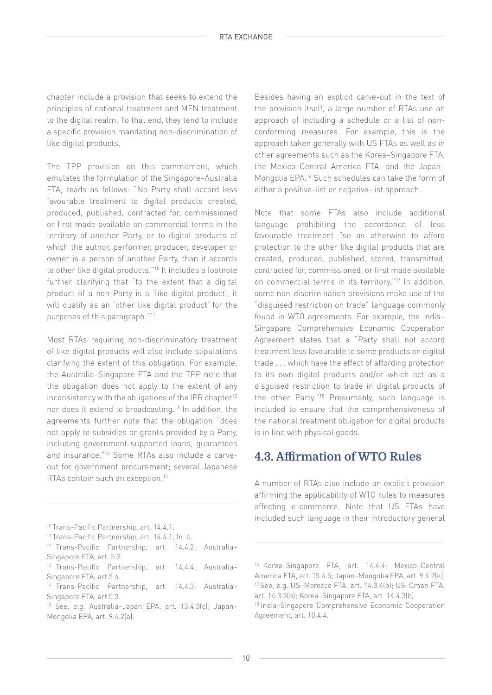chapter include a provision that seeks to extend the principles of national treatment and MFN treatment to the digital realm. To that end, they tend to include a specific provision mandating non-discrimination of like digital products.

The TPP provision on this commitment, which emulates the formulation of the Singapore–Australia FTA, reads as follows: "No Party shall accord less favourable treatment to digital products created, produced, published, contracted for, commissioned or first made available on commercial terms in the territory of another Party, or to digital products of which the author, performer, producer, developer or owner is a person of another Party, than it accords to other like digital products."10 It includes a footnote further clarifying that "to the extent that a digital product of a non-Party is a 'like digital product', it will qualify as an 'other like digital product' for the purposes of this paragraph."11

Most RTAs requiring non-discriminatory treatment of like digital products will also include stipulations clarifying the extent of this obligation. For example, the Australia–Singapore FTA and the TPP note that the obligation does not apply to the extent of any inconsistency with the obligations of the IPR chapter<sup>12</sup> nor does it extend to broadcasting.13 In addition, the agreements further note that the obligation "does not apply to subsidies or grants provided by a Party, including government-supported loans, guarantees and insurance."14 Some RTAs also include a carveout for government procurement; several Japanese RTAs contain such an exception.15

10 Trans-Pacific Partnership, art. 14.4.1.

14 Trans-Pacific Partnership, art. 14.4.3; Australia– Singapore FTA, art 5.3.

Besides having an explicit carve-out in the text of the provision itself, a large number of RTAs use an approach of including a schedule or a list of nonconforming measures. For example, this is the approach taken generally with US FTAs as well as in other agreements such as the Korea–Singapore FTA, the Mexico–Central America FTA, and the Japan– Mongolia EPA.16 Such schedules can take the form of either a positive-list or negative-list approach.

Note that some FTAs also include additional language prohibiting the accordance of less favourable treatment "so as otherwise to afford protection to the other like digital products that are created, produced, published, stored, transmitted, contracted for, commissioned, or first made available on commercial terms in its territory."17 In addition, some non-discrimination provisions make use of the "disguised restriction on trade" language commonly found in WTO agreements. For example, the India– Singapore Comprehensive Economic Cooperation Agreement states that a "Party shall not accord treatment less favourable to some products on digital trade . . . which have the effect of affording protection to its own digital products and/or which act as a disguised restriction to trade in digital products of the other Party."18 Presumably, such language is included to ensure that the comprehensiveness of the national treatment obligation for digital products is in line with physical goods.

## **4.3. Affirmation of WTO Rules**

A number of RTAs also include an explicit provision affirming the applicability of WTO rules to measures affecting e-commerce. Note that US FTAs have included such language in their introductory general

<sup>11</sup> Trans-Pacific Partnership, art. 14.4.1, fn. 4.

<sup>12</sup> Trans-Pacific Partnership, art. 14.4.2; Australia– Singapore FTA, art. 5.2.

<sup>13</sup> Trans-Pacific Partnership, art. 14.4.4; Australia– Singapore FTA, art 5.4.

<sup>15</sup> See, e.g. Australia–Japan EPA, art. 13.4.3(c); Japan– Mongolia EPA, art. 9.4.2(a).

<sup>16</sup> Korea–Singapore FTA, art. 14.4.4; Mexico–Central America FTA, art. 15.4.5; Japan–Mongolia EPA, art. 9.4.2(e). 17 See, e.g. US–Morocco FTA, art. 14.3.4(b); US–Oman FTA, art. 14.3.3(b); Korea–Singapore FTA, art. 14.4.3(b).

<sup>18</sup> India–Singapore Comprehensive Economic Cooperation Agreement, art. 10.4.4.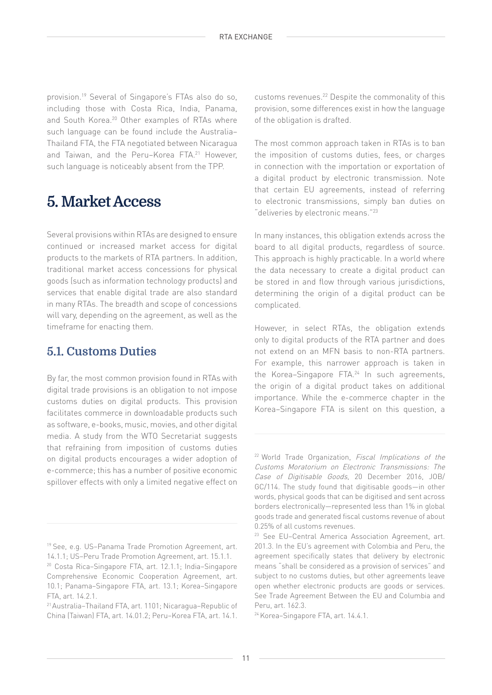provision.19 Several of Singapore's FTAs also do so, including those with Costa Rica, India, Panama, and South Korea.<sup>20</sup> Other examples of RTAs where such language can be found include the Australia– Thailand FTA, the FTA negotiated between Nicaragua and Taiwan, and the Peru-Korea FTA.<sup>21</sup> However, such language is noticeably absent from the TPP.

## **5. Market Access**

Several provisions within RTAs are designed to ensure continued or increased market access for digital products to the markets of RTA partners. In addition, traditional market access concessions for physical goods (such as information technology products) and services that enable digital trade are also standard in many RTAs. The breadth and scope of concessions will vary, depending on the agreement, as well as the timeframe for enacting them.

## **5.1. Customs Duties**

By far, the most common provision found in RTAs with digital trade provisions is an obligation to not impose customs duties on digital products. This provision facilitates commerce in downloadable products such as software, e-books, music, movies, and other digital media. A study from the WTO Secretariat suggests that refraining from imposition of customs duties on digital products encourages a wider adoption of e-commerce; this has a number of positive economic spillover effects with only a limited negative effect on

customs revenues.22 Despite the commonality of this provision, some differences exist in how the language of the obligation is drafted.

The most common approach taken in RTAs is to ban the imposition of customs duties, fees, or charges in connection with the importation or exportation of a digital product by electronic transmission. Note that certain EU agreements, instead of referring to electronic transmissions, simply ban duties on "deliveries by electronic means."23

In many instances, this obligation extends across the board to all digital products, regardless of source. This approach is highly practicable. In a world where the data necessary to create a digital product can be stored in and flow through various jurisdictions, determining the origin of a digital product can be complicated.

However, in select RTAs, the obligation extends only to digital products of the RTA partner and does not extend on an MFN basis to non-RTA partners. For example, this narrower approach is taken in the Korea–Singapore FTA.24 In such agreements, the origin of a digital product takes on additional importance. While the e-commerce chapter in the Korea–Singapore FTA is silent on this question, a

<sup>19</sup> See, e.g. US–Panama Trade Promotion Agreement, art. 14.1.1; US–Peru Trade Promotion Agreement, art. 15.1.1.

<sup>20</sup> Costa Rica–Singapore FTA, art. 12.1.1; India–Singapore Comprehensive Economic Cooperation Agreement, art. 10.1; Panama–Singapore FTA, art. 13.1; Korea–Singapore FTA, art. 14.2.1.

<sup>21</sup> Australia–Thailand FTA, art. 1101; Nicaragua–Republic of China (Taiwan) FTA, art. 14.01.2; Peru–Korea FTA, art. 14.1.

<sup>&</sup>lt;sup>22</sup> World Trade Organization, Fiscal Implications of the Customs Moratorium on Electronic Transmissions: The Case of Digitisable Goods, 20 December 2016, JOB/ GC/114. The study found that digitisable goods—in other words, physical goods that can be digitised and sent across borders electronically—represented less than 1% in global goods trade and generated fiscal customs revenue of about 0.25% of all customs revenues.

<sup>23</sup> See EU–Central America Association Agreement, art. 201.3. In the EU's agreement with Colombia and Peru, the agreement specifically states that delivery by electronic means "shall be considered as a provision of services" and subject to no customs duties, but other agreements leave open whether electronic products are goods or services. See Trade Agreement Between the EU and Columbia and Peru, art. 162.3.

<sup>24</sup> Korea–Singapore FTA, art. 14.4.1.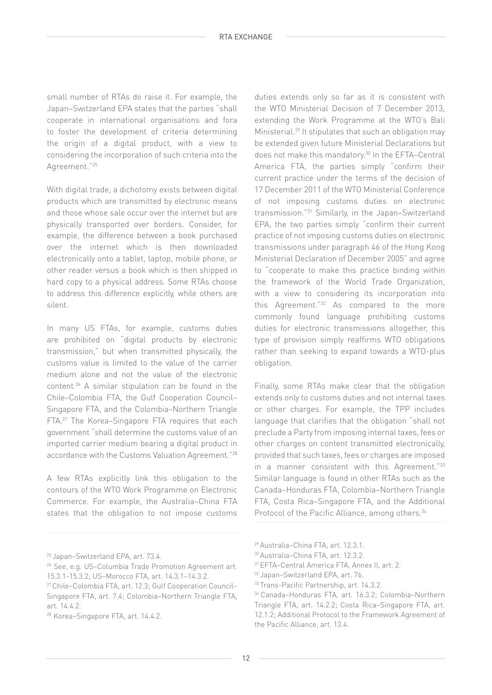small number of RTAs do raise it. For example, the Japan–Switzerland EPA states that the parties "shall cooperate in international organisations and fora to foster the development of criteria determining the origin of a digital product, with a view to considering the incorporation of such criteria into the Agreement."25

With digital trade, a dichotomy exists between digital products which are transmitted by electronic means and those whose sale occur over the internet but are physically transported over borders. Consider, for example, the difference between a book purchased over the internet which is then downloaded electronically onto a tablet, laptop, mobile phone, or other reader versus a book which is then shipped in hard copy to a physical address. Some RTAs choose to address this difference explicitly, while others are silent.

In many US FTAs, for example, customs duties are prohibited on "digital products by electronic transmission," but when transmitted physically, the customs value is limited to the value of the carrier medium alone and not the value of the electronic content.26 A similar stipulation can be found in the Chile–Colombia FTA, the Gulf Cooperation Council– Singapore FTA, and the Colombia–Northern Triangle FTA.27 The Korea–Singapore FTA requires that each government "shall determine the customs value of an imported carrier medium bearing a digital product in accordance with the Customs Valuation Agreement."28

A few RTAs explicitly link this obligation to the contours of the WTO Work Programme on Electronic Commerce. For example, the Australia–China FTA states that the obligation to not impose customs

duties extends only so far as it is consistent with the WTO Ministerial Decision of 7 December 2013, extending the Work Programme at the WTO's Bali Ministerial.<sup>29</sup> It stipulates that such an obligation may be extended given future Ministerial Declarations but does not make this mandatory.<sup>30</sup> In the EFTA-Central America FTA, the parties simply "confirm their current practice under the terms of the decision of 17 December 2011 of the WTO Ministerial Conference of not imposing customs duties on electronic transmission."31 Similarly, in the Japan–Switzerland EPA, the two parties simply "confirm their current practice of not imposing customs duties on electronic transmissions under paragraph 46 of the Hong Kong Ministerial Declaration of December 2005" and agree to "cooperate to make this practice binding within the framework of the World Trade Organization, with a view to considering its incorporation into this Agreement."32 As compared to the more commonly found language prohibiting customs duties for electronic transmissions altogether, this type of provision simply reaffirms WTO obligations rather than seeking to expand towards a WTO-plus obligation.

Finally, some RTAs make clear that the obligation extends only to customs duties and not internal taxes or other charges. For example, the TPP includes language that clarifies that the obligation "shall not preclude a Party from imposing internal taxes, fees or other charges on content transmitted electronically, provided that such taxes, fees or charges are imposed in a manner consistent with this Agreement."33 Similar language is found in other RTAs such as the Canada–Honduras FTA, Colombia–Northern Triangle FTA, Costa Rica–Singapore FTA, and the Additional Protocol of the Pacific Alliance, among others.<sup>34</sup>

<sup>25</sup> Japan–Switzerland EPA, art. 73.4.

<sup>26</sup> See, e.g. US–Columbia Trade Promotion Agreement art. 15.3.1-15.3.2; US–Morocco FTA, art. 14.3.1–14.3.2.

<sup>27</sup> Chile–Colombia FTA, art. 12.3; Gulf Cooperation Council– Singapore FTA, art. 7.4; Colombia–Northern Triangle FTA, art. 14.4.2.

<sup>28</sup> Korea–Singapore FTA, art. 14.4.2.

<sup>29</sup> Australia–China FTA, art. 12.3.1.

<sup>30</sup> Australia–China FTA, art. 12.3.2.

<sup>31</sup> EFTA–Central America FTA, Annex II, art. 2.

<sup>32</sup> Japan–Switzerland EPA, art. 76.

<sup>33</sup> Trans-Pacific Partnership, art. 14.3.2.

<sup>34</sup> Canada–Honduras FTA, art. 16.3.2; Colombia–Northern Triangle FTA, art. 14.2.2; Costa Rica–Singapore FTA, art. 12.1.2; Additional Protocol to the Framework Agreement of the Pacific Alliance, art. 13.4.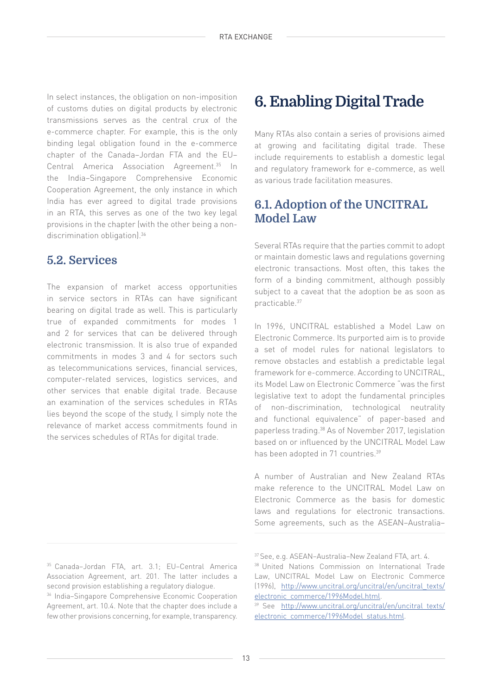In select instances, the obligation on non-imposition of customs duties on digital products by electronic transmissions serves as the central crux of the e-commerce chapter. For example, this is the only binding legal obligation found in the e-commerce chapter of the Canada–Jordan FTA and the EU– Central America Association Agreement.35 In the India–Singapore Comprehensive Economic Cooperation Agreement, the only instance in which India has ever agreed to digital trade provisions in an RTA, this serves as one of the two key legal provisions in the chapter (with the other being a nondiscrimination obligation).<sup>36</sup>

#### **5.2. Services**

The expansion of market access opportunities in service sectors in RTAs can have significant bearing on digital trade as well. This is particularly true of expanded commitments for modes 1 and 2 for services that can be delivered through electronic transmission. It is also true of expanded commitments in modes 3 and 4 for sectors such as telecommunications services, financial services, computer-related services, logistics services, and other services that enable digital trade. Because an examination of the services schedules in RTAs lies beyond the scope of the study, I simply note the relevance of market access commitments found in the services schedules of RTAs for digital trade.

#### 35 Canada–Jordan FTA, art. 3.1; EU–Central America Association Agreement, art. 201. The latter includes a second provision establishing a regulatory dialogue.

36 India–Singapore Comprehensive Economic Cooperation Agreement, art. 10.4. Note that the chapter does include a few other provisions concerning, for example, transparency.

## **6. Enabling Digital Trade**

Many RTAs also contain a series of provisions aimed at growing and facilitating digital trade. These include requirements to establish a domestic legal and regulatory framework for e-commerce, as well as various trade facilitation measures.

## **6.1. Adoption of the UNCITRAL Model Law**

Several RTAs require that the parties commit to adopt or maintain domestic laws and regulations governing electronic transactions. Most often, this takes the form of a binding commitment, although possibly subject to a caveat that the adoption be as soon as practicable.37

In 1996, UNCITRAL established a Model Law on Electronic Commerce. Its purported aim is to provide a set of model rules for national legislators to remove obstacles and establish a predictable legal framework for e-commerce. According to UNCITRAL, its Model Law on Electronic Commerce "was the first legislative text to adopt the fundamental principles of non-discrimination, technological neutrality and functional equivalence" of paper-based and paperless trading.38 As of November 2017, legislation based on or influenced by the UNCITRAL Model Law has been adopted in 71 countries.<sup>39</sup>

A number of Australian and New Zealand RTAs make reference to the UNCITRAL Model Law on Electronic Commerce as the basis for domestic laws and regulations for electronic transactions. Some agreements, such as the ASEAN–Australia–

<sup>37</sup> See, e.g. ASEAN–Australia–New Zealand FTA, art. 4.

<sup>38</sup> United Nations Commission on International Trade Law, UNCITRAL Model Law on Electronic Commerce (1996), [http://www.uncitral.org/uncitral/en/uncitral\\_texts/](http://www.uncitral.org/uncitral/en/uncitral_texts/electronic_commerce/1996Model.html) [electronic\\_commerce/1996Model.html](http://www.uncitral.org/uncitral/en/uncitral_texts/electronic_commerce/1996Model.html).

<sup>39</sup> See [http://www.uncitral.org/uncitral/en/uncitral\\_texts/](http://www.uncitral.org/uncitral/en/uncitral_texts/electronic_commerce/1996Model_status.html) [electronic\\_commerce/1996Model\\_status.html](http://www.uncitral.org/uncitral/en/uncitral_texts/electronic_commerce/1996Model_status.html).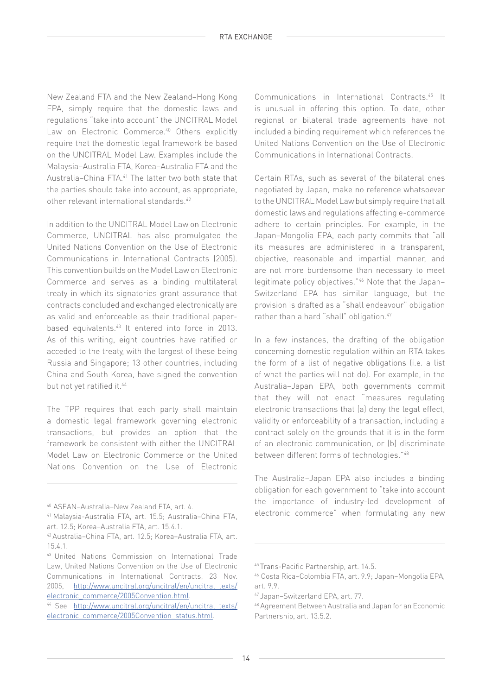New Zealand FTA and the New Zealand–Hong Kong EPA, simply require that the domestic laws and regulations "take into account" the UNCITRAL Model Law on Electronic Commerce.<sup>40</sup> Others explicitly require that the domestic legal framework be based on the UNCITRAL Model Law. Examples include the Malaysia–Australia FTA, Korea–Australia FTA and the Australia–China FTA.<sup>41</sup> The latter two both state that the parties should take into account, as appropriate, other relevant international standards.42

In addition to the UNCITRAL Model Law on Electronic Commerce, UNCITRAL has also promulgated the United Nations Convention on the Use of Electronic Communications in International Contracts (2005). This convention builds on the Model Law on Electronic Commerce and serves as a binding multilateral treaty in which its signatories grant assurance that contracts concluded and exchanged electronically are as valid and enforceable as their traditional paperbased equivalents.43 It entered into force in 2013. As of this writing, eight countries have ratified or acceded to the treaty, with the largest of these being Russia and Singapore; 13 other countries, including China and South Korea, have signed the convention but not yet ratified it.<sup>44</sup>

The TPP requires that each party shall maintain a domestic legal framework governing electronic transactions, but provides an option that the framework be consistent with either the UNCITRAL Model Law on Electronic Commerce or the United Nations Convention on the Use of Electronic Communications in International Contracts.45 It is unusual in offering this option. To date, other regional or bilateral trade agreements have not included a binding requirement which references the United Nations Convention on the Use of Electronic Communications in International Contracts.

Certain RTAs, such as several of the bilateral ones negotiated by Japan, make no reference whatsoever to the UNCITRAL Model Law but simply require that all domestic laws and regulations affecting e-commerce adhere to certain principles. For example, in the Japan–Mongolia EPA, each party commits that "all its measures are administered in a transparent, objective, reasonable and impartial manner, and are not more burdensome than necessary to meet legitimate policy objectives."46 Note that the Japan– Switzerland EPA has similar language, but the provision is drafted as a "shall endeavour" obligation rather than a hard "shall" obligation.<sup>47</sup>

In a few instances, the drafting of the obligation concerning domestic regulation within an RTA takes the form of a list of negative obligations (i.e. a list of what the parties will not do). For example, in the Australia–Japan EPA, both governments commit that they will not enact "measures regulating electronic transactions that (a) deny the legal effect, validity or enforceability of a transaction, including a contract solely on the grounds that it is in the form of an electronic communication, or (b) discriminate between different forms of technologies."48

The Australia–Japan EPA also includes a binding obligation for each government to "take into account the importance of industry-led development of electronic commerce" when formulating any new

<sup>40</sup> ASEAN–Australia–New Zealand FTA, art. 4.

<sup>41</sup> Malaysia-Australia FTA, art. 15.5; Australia–China FTA, art. 12.5; Korea–Australia FTA, art. 15.4.1.

<sup>42</sup> Australia–China FTA, art. 12.5; Korea–Australia FTA, art. 15.4.1.

<sup>43</sup> United Nations Commission on International Trade Law, United Nations Convention on the Use of Electronic Communications in International Contracts, 23 Nov. 2005, [http://www.uncitral.org/uncitral/en/uncitral\\_texts/](http://www.uncitral.org/uncitral/en/uncitral_texts/electronic_commerce/2005Convention.html) [electronic\\_commerce/2005Convention.html.](http://www.uncitral.org/uncitral/en/uncitral_texts/electronic_commerce/2005Convention.html)

<sup>44</sup> See [http://www.uncitral.org/uncitral/en/uncitral\\_texts/](http://www.uncitral.org/uncitral/en/uncitral_texts/electronic_commerce/2005Convention_status.html) [electronic\\_commerce/2005Convention\\_status.html](http://www.uncitral.org/uncitral/en/uncitral_texts/electronic_commerce/2005Convention_status.html).

<sup>45</sup> Trans-Pacific Partnership, art. 14.5.

<sup>46</sup> Costa Rica–Colombia FTA, art. 9.9; Japan–Mongolia EPA, art. 9.9.

<sup>47</sup> Japan–Switzerland EPA, art. 77.

<sup>48</sup> Agreement Between Australia and Japan for an Economic Partnership, art. 13.5.2.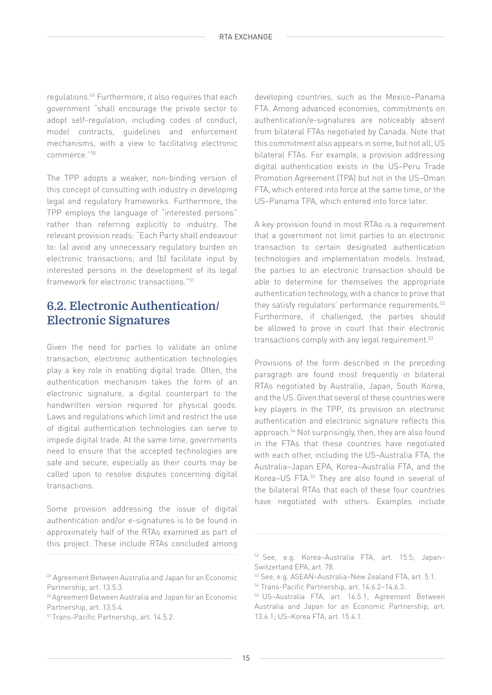regulations.49 Furthermore, it also requires that each government "shall encourage the private sector to adopt self-regulation, including codes of conduct, model contracts, guidelines and enforcement mechanisms, with a view to facilitating electronic commerce."50

The TPP adopts a weaker, non-binding version of this concept of consulting with industry in developing legal and regulatory frameworks. Furthermore, the TPP employs the language of "interested persons" rather than referring explicitly to industry. The relevant provision reads: "Each Party shall endeavour to: (a) avoid any unnecessary regulatory burden on electronic transactions; and (b) facilitate input by interested persons in the development of its legal framework for electronic transactions."51

## **6.2. Electronic Authentication/ Electronic Signatures**

Given the need for parties to validate an online transaction, electronic authentication technologies play a key role in enabling digital trade. Often, the authentication mechanism takes the form of an electronic signature, a digital counterpart to the handwritten version required for physical goods. Laws and regulations which limit and restrict the use of digital authentication technologies can serve to impede digital trade. At the same time, governments need to ensure that the accepted technologies are safe and secure, especially as their courts may be called upon to resolve disputes concerning digital transactions.

Some provision addressing the issue of digital authentication and/or e-signatures is to be found in approximately half of the RTAs examined as part of this project. These include RTAs concluded among

developing countries, such as the Mexico–Panama FTA. Among advanced economies, commitments on authentication/e-signatures are noticeably absent from bilateral FTAs negotiated by Canada. Note that this commitment also appears in some, but not all, US bilateral FTAs. For example, a provision addressing digital authentication exists in the US–Peru Trade Promotion Agreement (TPA) but not in the US–Oman FTA, which entered into force at the same time, or the US–Panama TPA, which entered into force later.

A key provision found in most RTAs is a requirement that a government not limit parties to an electronic transaction to certain designated authentication technologies and implementation models. Instead, the parties to an electronic transaction should be able to determine for themselves the appropriate authentication technology, with a chance to prove that they satisfy regulators' performance requirements.<sup>52</sup> Furthermore, if challenged, the parties should be allowed to prove in court that their electronic transactions comply with any legal requirement.<sup>53</sup>

Provisions of the form described in the preceding paragraph are found most frequently in bilateral RTAs negotiated by Australia, Japan, South Korea, and the US. Given that several of these countries were key players in the TPP, its provision on electronic authentication and electronic signature reflects this approach.54 Not surprisingly, then, they are also found in the FTAs that these countries have negotiated with each other, including the US–Australia FTA, the Australia–Japan EPA, Korea–Australia FTA, and the Korea–US FTA.55 They are also found in several of the bilateral RTAs that each of these four countries have negotiated with others. Examples include

<sup>49</sup> Agreement Between Australia and Japan for an Economic Partnership, art. 13.5.3.

<sup>50</sup> Agreement Between Australia and Japan for an Economic Partnership, art. 13.5.4.

<sup>51</sup> Trans-Pacific Partnership, art. 14.5.2.

<sup>52</sup> See, e.g. Korea–Australia FTA, art. 15.5; Japan– Switzerland EPA, art. 78.

<sup>53</sup> See, e.g. ASEAN–Australia–New Zealand FTA, art. 5.1.

<sup>54</sup> Trans-Pacific Partnership, art. 14.6.2–14.6.3.

<sup>55</sup> US–Australia FTA, art. 16.5.1; Agreement Between Australia and Japan for an Economic Partnership, art. 13.6.1; US–Korea FTA, art. 15.4.1.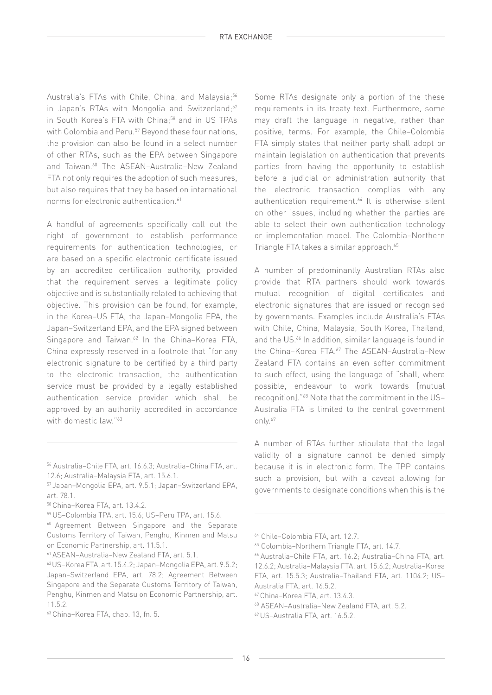Australia's FTAs with Chile, China, and Malaysia:<sup>56</sup> in Japan's RTAs with Mongolia and Switzerland;<sup>57</sup> in South Korea's FTA with China:<sup>58</sup> and in US TPAs with Colombia and Peru.<sup>59</sup> Beyond these four nations, the provision can also be found in a select number of other RTAs, such as the EPA between Singapore and Taiwan.<sup>60</sup> The ASEAN-Australia-New Zealand FTA not only requires the adoption of such measures, but also requires that they be based on international norms for electronic authentication.<sup>61</sup>

A handful of agreements specifically call out the right of government to establish performance requirements for authentication technologies, or are based on a specific electronic certificate issued by an accredited certification authority, provided that the requirement serves a legitimate policy objective and is substantially related to achieving that objective. This provision can be found, for example, in the Korea–US FTA, the Japan–Mongolia EPA, the Japan–Switzerland EPA, and the EPA signed between Singapore and Taiwan.<sup>62</sup> In the China-Korea FTA, China expressly reserved in a footnote that "for any electronic signature to be certified by a third party to the electronic transaction, the authentication service must be provided by a legally established authentication service provider which shall be approved by an authority accredited in accordance with domestic law."<sup>63</sup>

Some RTAs designate only a portion of the these requirements in its treaty text. Furthermore, some may draft the language in negative, rather than positive, terms. For example, the Chile–Colombia FTA simply states that neither party shall adopt or maintain legislation on authentication that prevents parties from having the opportunity to establish before a judicial or administration authority that the electronic transaction complies with any authentication requirement.<sup>64</sup> It is otherwise silent on other issues, including whether the parties are able to select their own authentication technology or implementation model. The Colombia–Northern Triangle FTA takes a similar approach.<sup>65</sup>

A number of predominantly Australian RTAs also provide that RTA partners should work towards mutual recognition of digital certificates and electronic signatures that are issued or recognised by governments. Examples include Australia's FTAs with Chile, China, Malaysia, South Korea, Thailand, and the US.<sup>66</sup> In addition, similar language is found in the China–Korea FTA.67 The ASEAN–Australia–New Zealand FTA contains an even softer commitment to such effect, using the language of "shall, where possible, endeavour to work towards [mutual recognition]."68 Note that the commitment in the US– Australia FTA is limited to the central government only.69

A number of RTAs further stipulate that the legal validity of a signature cannot be denied simply because it is in electronic form. The TPP contains such a provision, but with a caveat allowing for governments to designate conditions when this is the

<sup>56</sup> Australia–Chile FTA, art. 16.6.3; Australia–China FTA, art. 12.6; Australia–Malaysia FTA, art. 15.6.1.

<sup>57</sup> Japan–Mongolia EPA, art. 9.5.1; Japan–Switzerland EPA, art. 78.1.

<sup>58</sup> China–Korea FTA, art. 13.4.2.

<sup>59</sup> US–Colombia TPA, art. 15.6; US–Peru TPA, art. 15.6.

<sup>&</sup>lt;sup>60</sup> Agreement Between Singapore and the Separate Customs Territory of Taiwan, Penghu, Kinmen and Matsu on Economic Partnership, art. 11.5.1.

<sup>61</sup> ASEAN–Australia–New Zealand FTA, art. 5.1.

<sup>62</sup> US–Korea FTA, art. 15.4.2; Japan–Mongolia EPA, art. 9.5.2; Japan–Switzerland EPA, art. 78.2; Agreement Between Singapore and the Separate Customs Territory of Taiwan, Penghu, Kinmen and Matsu on Economic Partnership, art. 11.5.2.

<sup>63</sup> China–Korea FTA, chap. 13, fn. 5.

<sup>64</sup> Chile–Colombia FTA, art. 12.7.

<sup>65</sup> Colombia–Northern Triangle FTA, art. 14.7.

<sup>66</sup> Australia–Chile FTA, art. 16.2; Australia–China FTA, art. 12.6.2; Australia–Malaysia FTA, art. 15.6.2; Australia–Korea FTA, art. 15.5.3; Australia–Thailand FTA, art. 1104.2; US– Australia FTA, art. 16.5.2.

<sup>67</sup> China–Korea FTA, art. 13.4.3.

<sup>68</sup> ASEAN–Australia–New Zealand FTA, art. 5.2.

<sup>69</sup> US–Australia FTA, art. 16.5.2.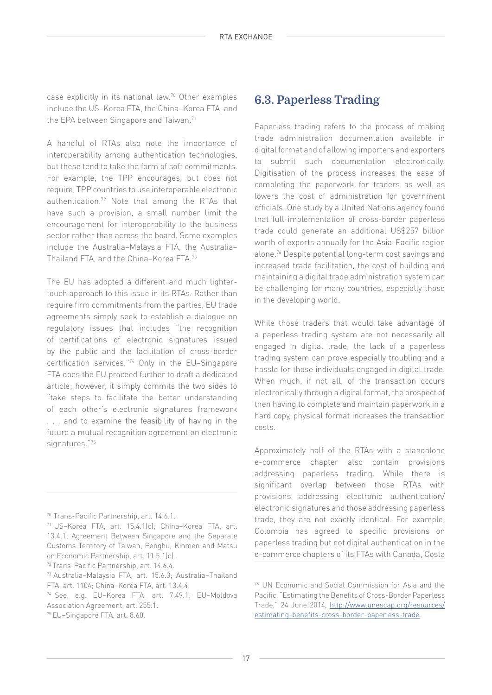case explicitly in its national law.70 Other examples include the US–Korea FTA, the China–Korea FTA, and the EPA between Singapore and Taiwan.<sup>71</sup>

A handful of RTAs also note the importance of interoperability among authentication technologies, but these tend to take the form of soft commitments. For example, the TPP encourages, but does not require, TPP countries to use interoperable electronic authentication.72 Note that among the RTAs that have such a provision, a small number limit the encouragement for interoperability to the business sector rather than across the board. Some examples include the Australia–Malaysia FTA, the Australia– Thailand FTA, and the China–Korea FTA.73

The EU has adopted a different and much lightertouch approach to this issue in its RTAs. Rather than require firm commitments from the parties, EU trade agreements simply seek to establish a dialogue on regulatory issues that includes "the recognition of certifications of electronic signatures issued by the public and the facilitation of cross-border certification services."74 Only in the EU–Singapore FTA does the EU proceed further to draft a dedicated article; however, it simply commits the two sides to "take steps to facilitate the better understanding of each other's electronic signatures framework . . . and to examine the feasibility of having in the future a mutual recognition agreement on electronic signatures."75

#### **6.3. Paperless Trading**

Paperless trading refers to the process of making trade administration documentation available in digital format and of allowing importers and exporters to submit such documentation electronically. Digitisation of the process increases the ease of completing the paperwork for traders as well as lowers the cost of administration for government officials. One study by a United Nations agency found that full implementation of cross-border paperless trade could generate an additional US\$257 billion worth of exports annually for the Asia-Pacific region alone.76 Despite potential long-term cost savings and increased trade facilitation, the cost of building and maintaining a digital trade administration system can be challenging for many countries, especially those in the developing world.

While those traders that would take advantage of a paperless trading system are not necessarily all engaged in digital trade, the lack of a paperless trading system can prove especially troubling and a hassle for those individuals engaged in digital trade. When much, if not all, of the transaction occurs electronically through a digital format, the prospect of then having to complete and maintain paperwork in a hard copy, physical format increases the transaction costs.

Approximately half of the RTAs with a standalone e-commerce chapter also contain provisions addressing paperless trading. While there is significant overlap between those RTAs with provisions addressing electronic authentication/ electronic signatures and those addressing paperless trade, they are not exactly identical. For example, Colombia has agreed to specific provisions on paperless trading but not digital authentication in the e-commerce chapters of its FTAs with Canada, Costa

<sup>70</sup> Trans-Pacific Partnership, art. 14.6.1.

<sup>71</sup> US–Korea FTA, art. 15.4.1(c); China–Korea FTA, art. 13.4.1; Agreement Between Singapore and the Separate Customs Territory of Taiwan, Penghu, Kinmen and Matsu on Economic Partnership, art. 11.5.1(c).

<sup>72</sup> Trans-Pacific Partnership, art. 14.6.4.

<sup>73</sup> Australia–Malaysia FTA, art. 15.6.3; Australia–Thailand FTA, art. 1104; China–Korea FTA, art. 13.4.4.

<sup>74</sup> See, e.g. EU–Korea FTA, art. 7.49.1; EU–Moldova Association Agreement, art. 255.1.

<sup>75</sup> EU–Singapore FTA, art. 8.60.

<sup>76</sup> UN Economic and Social Commission for Asia and the Pacific, "Estimating the Benefits of Cross-Border Paperless Trade," 24 June 2014, [http://www.unescap.org/resources/](http://www.unescap.org/resources/estimating-benefits-cross-border-paperless-trade) [estimating-benefits-cross-border-paperless-trade.](http://www.unescap.org/resources/estimating-benefits-cross-border-paperless-trade)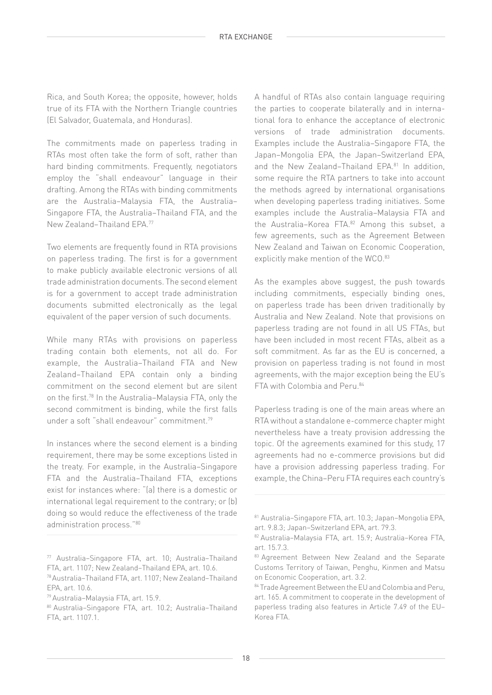Rica, and South Korea; the opposite, however, holds true of its FTA with the Northern Triangle countries (El Salvador, Guatemala, and Honduras).

The commitments made on paperless trading in RTAs most often take the form of soft, rather than hard binding commitments. Frequently, negotiators employ the "shall endeavour" language in their drafting. Among the RTAs with binding commitments are the Australia–Malaysia FTA, the Australia– Singapore FTA, the Australia–Thailand FTA, and the New Zealand–Thailand EPA.77

Two elements are frequently found in RTA provisions on paperless trading. The first is for a government to make publicly available electronic versions of all trade administration documents. The second element is for a government to accept trade administration documents submitted electronically as the legal equivalent of the paper version of such documents.

While many RTAs with provisions on paperless trading contain both elements, not all do. For example, the Australia–Thailand FTA and New Zealand–Thailand EPA contain only a binding commitment on the second element but are silent on the first.78 In the Australia–Malaysia FTA, only the second commitment is binding, while the first falls under a soft "shall endeavour" commitment.79

In instances where the second element is a binding requirement, there may be some exceptions listed in the treaty. For example, in the Australia–Singapore FTA and the Australia–Thailand FTA, exceptions exist for instances where: "(a) there is a domestic or international legal requirement to the contrary; or (b) doing so would reduce the effectiveness of the trade administration process."80

A handful of RTAs also contain language requiring the parties to cooperate bilaterally and in international fora to enhance the acceptance of electronic versions of trade administration documents. Examples include the Australia–Singapore FTA, the Japan–Mongolia EPA, the Japan–Switzerland EPA, and the New Zealand–Thailand EPA.<sup>81</sup> In addition, some require the RTA partners to take into account the methods agreed by international organisations when developing paperless trading initiatives. Some examples include the Australia–Malaysia FTA and the Australia-Korea FTA.<sup>82</sup> Among this subset, a few agreements, such as the Agreement Between New Zealand and Taiwan on Economic Cooperation, explicitly make mention of the WCO.<sup>83</sup>

As the examples above suggest, the push towards including commitments, especially binding ones, on paperless trade has been driven traditionally by Australia and New Zealand. Note that provisions on paperless trading are not found in all US FTAs, but have been included in most recent FTAs, albeit as a soft commitment. As far as the EU is concerned, a provision on paperless trading is not found in most agreements, with the major exception being the EU's FTA with Colombia and Peru.84

Paperless trading is one of the main areas where an RTA without a standalone e-commerce chapter might nevertheless have a treaty provision addressing the topic. Of the agreements examined for this study, 17 agreements had no e-commerce provisions but did have a provision addressing paperless trading. For example, the China–Peru FTA requires each country's

<sup>77</sup> Australia–Singapore FTA, art. 10; Australia–Thailand FTA, art. 1107; New Zealand–Thailand EPA, art. 10.6.

<sup>78</sup> Australia–Thailand FTA, art. 1107; New Zealand–Thailand EPA, art. 10.6.

<sup>79</sup> Australia–Malaysia FTA, art. 15.9.

<sup>80</sup> Australia–Singapore FTA, art. 10.2; Australia–Thailand FTA, art. 1107.1.

<sup>81</sup> Australia–Singapore FTA, art. 10.3; Japan–Mongolia EPA, art. 9.8.3; Japan–Switzerland EPA, art. 79.3.

<sup>82</sup> Australia–Malaysia FTA, art. 15.9; Australia–Korea FTA, art. 15.7.3.

<sup>83</sup> Agreement Between New Zealand and the Separate Customs Territory of Taiwan, Penghu, Kinmen and Matsu on Economic Cooperation, art. 3.2.

<sup>84</sup> Trade Agreement Between the EU and Colombia and Peru, art. 165. A commitment to cooperate in the development of paperless trading also features in Article 7.49 of the EU– Korea FTA.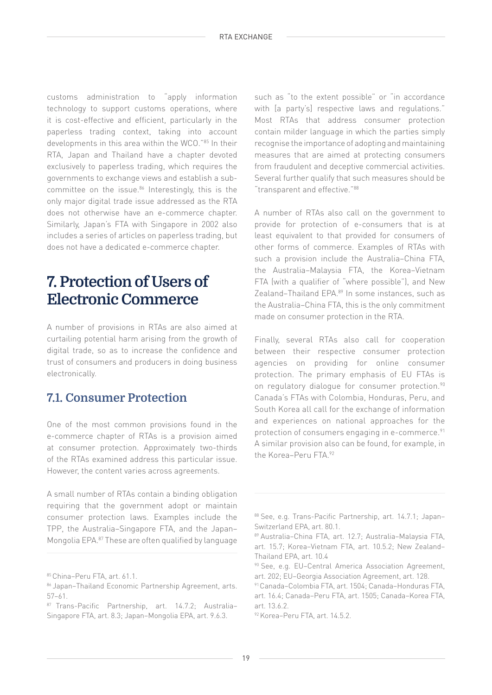customs administration to "apply information technology to support customs operations, where it is cost-effective and efficient, particularly in the paperless trading context, taking into account developments in this area within the WCO."85 In their RTA, Japan and Thailand have a chapter devoted exclusively to paperless trading, which requires the governments to exchange views and establish a subcommittee on the issue.<sup>86</sup> Interestingly, this is the only major digital trade issue addressed as the RTA does not otherwise have an e-commerce chapter. Similarly, Japan's FTA with Singapore in 2002 also includes a series of articles on paperless trading, but does not have a dedicated e-commerce chapter.

## **7. Protection of Users of Electronic Commerce**

A number of provisions in RTAs are also aimed at curtailing potential harm arising from the growth of digital trade, so as to increase the confidence and trust of consumers and producers in doing business electronically.

## **7.1. Consumer Protection**

One of the most common provisions found in the e-commerce chapter of RTAs is a provision aimed at consumer protection. Approximately two-thirds of the RTAs examined address this particular issue. However, the content varies across agreements.

A small number of RTAs contain a binding obligation requiring that the government adopt or maintain consumer protection laws. Examples include the TPP, the Australia–Singapore FTA, and the Japan– Mongolia EPA.87 These are often qualified by language

such as "to the extent possible" or "in accordance with [a party's] respective laws and regulations." Most RTAs that address consumer protection contain milder language in which the parties simply recognise the importance of adopting and maintaining measures that are aimed at protecting consumers from fraudulent and deceptive commercial activities. Several further qualify that such measures should be "transparent and effective."88

A number of RTAs also call on the government to provide for protection of e-consumers that is at least equivalent to that provided for consumers of other forms of commerce. Examples of RTAs with such a provision include the Australia–China FTA, the Australia–Malaysia FTA, the Korea–Vietnam FTA (with a qualifier of "where possible"), and New Zealand–Thailand EPA.<sup>89</sup> In some instances, such as the Australia–China FTA, this is the only commitment made on consumer protection in the RTA.

Finally, several RTAs also call for cooperation between their respective consumer protection agencies on providing for online consumer protection. The primary emphasis of EU FTAs is on regulatory dialogue for consumer protection.<sup>90</sup> Canada's FTAs with Colombia, Honduras, Peru, and South Korea all call for the exchange of information and experiences on national approaches for the protection of consumers engaging in e-commerce.<sup>91</sup> A similar provision also can be found, for example, in the Korea-Peru FTA 92

<sup>85</sup> China–Peru FTA, art. 61.1.

<sup>86</sup> Japan–Thailand Economic Partnership Agreement, arts. 57–61.

<sup>87</sup> Trans-Pacific Partnership, art. 14.7.2; Australia-Singapore FTA, art. 8.3; Japan–Mongolia EPA, art. 9.6.3.

<sup>88</sup> See, e.g. Trans-Pacific Partnership, art. 14.7.1; Japan-Switzerland EPA, art. 80.1.

<sup>89</sup> Australia–China FTA, art. 12.7; Australia–Malaysia FTA, art. 15.7; Korea–Vietnam FTA, art. 10.5.2; New Zealand– Thailand EPA, art. 10.4

<sup>90</sup> See, e.g. EU–Central America Association Agreement, art. 202; EU–Georgia Association Agreement, art. 128.

<sup>91</sup> Canada–Colombia FTA, art. 1504; Canada–Honduras FTA, art. 16.4; Canada–Peru FTA, art. 1505; Canada–Korea FTA, art. 13.6.2.

<sup>92</sup> Korea–Peru FTA, art. 14.5.2.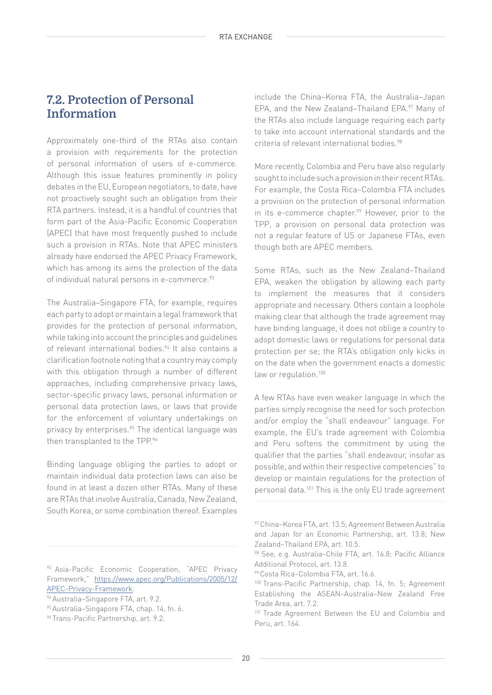## **7.2. Protection of Personal Information**

Approximately one-third of the RTAs also contain a provision with requirements for the protection of personal information of users of e-commerce. Although this issue features prominently in policy debates in the EU, European negotiators, to date, have not proactively sought such an obligation from their RTA partners. Instead, it is a handful of countries that form part of the Asia-Pacific Economic Cooperation (APEC) that have most frequently pushed to include such a provision in RTAs. Note that APEC ministers already have endorsed the APEC Privacy Framework, which has among its aims the protection of the data of individual natural persons in e-commerce.<sup>93</sup>

The Australia–Singapore FTA, for example, requires each party to adopt or maintain a legal framework that provides for the protection of personal information, while taking into account the principles and guidelines of relevant international bodies.<sup>94</sup> It also contains a clarification footnote noting that a country may comply with this obligation through a number of different approaches, including comprehensive privacy laws, sector-specific privacy laws, personal information or personal data protection laws, or laws that provide for the enforcement of voluntary undertakings on privacy by enterprises.<sup>95</sup> The identical language was then transplanted to the TPP.<sup>96</sup>

Binding language obliging the parties to adopt or maintain individual data protection laws can also be found in at least a dozen other RTAs. Many of these are RTAs that involve Australia, Canada, New Zealand, South Korea, or some combination thereof. Examples

93 Asia-Pacific Economic Cooperation, "APEC Privacy Framework," [https://www.apec.org/Publications/2005/12/](https://www.apec.org/Publications/2005/12/APEC-Privacy-Framework) [APEC-Privacy-Framework](https://www.apec.org/Publications/2005/12/APEC-Privacy-Framework).

include the China–Korea FTA, the Australia–Japan EPA, and the New Zealand–Thailand EPA.97 Many of the RTAs also include language requiring each party to take into account international standards and the criteria of relevant international bodies.<sup>98</sup>

More recently, Colombia and Peru have also regularly sought to include such a provision in their recent RTAs. For example, the Costa Rica–Colombia FTA includes a provision on the protection of personal information in its e-commerce chapter.<sup>99</sup> However, prior to the TPP, a provision on personal data protection was not a regular feature of US or Japanese FTAs, even though both are APEC members.

Some RTAs, such as the New Zealand–Thailand EPA, weaken the obligation by allowing each party to implement the measures that it considers appropriate and necessary. Others contain a loophole making clear that although the trade agreement may have binding language, it does not oblige a country to adopt domestic laws or regulations for personal data protection per se; the RTA's obligation only kicks in on the date when the government enacts a domestic law or regulation.<sup>100</sup>

A few RTAs have even weaker language in which the parties simply recognise the need for such protection and/or employ the "shall endeavour" language. For example, the EU's trade agreement with Colombia and Peru softens the commitment by using the qualifier that the parties "shall endeavour, insofar as possible, and within their respective competencies" to develop or maintain regulations for the protection of personal data.101 This is the only EU trade agreement

<sup>94</sup> Australia–Singapore FTA, art. 9.2.

<sup>95</sup> Australia–Singapore FTA, chap. 14, fn. 6.

<sup>96</sup> Trans-Pacific Partnership, art. 9.2.

<sup>97</sup> China–Korea FTA, art. 13.5; Agreement Between Australia and Japan for an Economic Partnership, art. 13.8; New Zealand–Thailand EPA, art. 10.5.

<sup>98</sup> See, e.g. Australia-Chile FTA, art. 16.8; Pacific Alliance Additional Protocol, art. 13.8.

<sup>99</sup> Costa Rica–Colombia FTA, art. 16.6.

<sup>100</sup> Trans-Pacific Partnership, chap. 14, fn. 5; Agreement Establishing the ASEAN–Australia–New Zealand Free Trade Area, art. 7.2.

<sup>&</sup>lt;sup>101</sup> Trade Agreement Between the EU and Colombia and Peru, art. 164.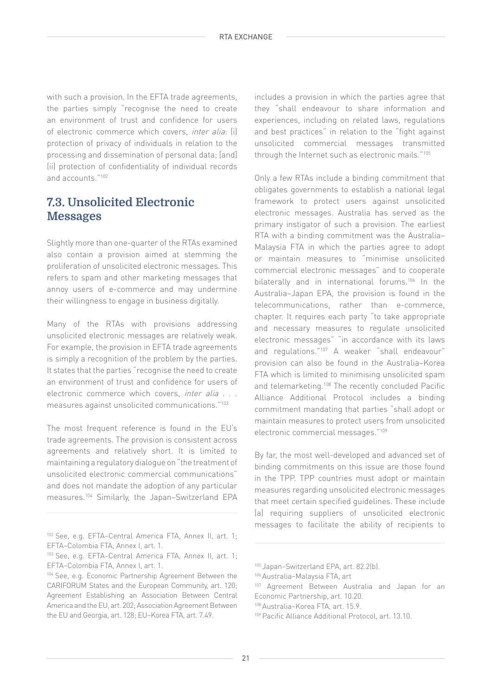with such a provision. In the EFTA trade agreements, the parties simply "recognise the need to create an environment of trust and confidence for users of electronic commerce which covers, inter alia: (i) protection of privacy of individuals in relation to the processing and dissemination of personal data; [and] (ii) protection of confidentiality of individual records and accounts."102

#### **7.3. Unsolicited Electronic Messages**

Slightly more than one-quarter of the RTAs examined also contain a provision aimed at stemming the proliferation of unsolicited electronic messages. This refers to spam and other marketing messages that annoy users of e-commerce and may undermine their willingness to engage in business digitally.

Many of the RTAs with provisions addressing unsolicited electronic messages are relatively weak. For example, the provision in EFTA trade agreements is simply a recognition of the problem by the parties. It states that the parties "recognise the need to create an environment of trust and confidence for users of electronic commerce which covers, *inter alia* . . . measures against unsolicited communications."103

The most frequent reference is found in the EU's trade agreements. The provision is consistent across agreements and relatively short. It is limited to maintaining a regulatory dialogue on "the treatment of unsolicited electronic commercial communications" and does not mandate the adoption of any particular measures.104 Similarly, the Japan–Switzerland EPA includes a provision in which the parties agree that they "shall endeavour to share information and experiences, including on related laws, regulations and best practices" in relation to the "fight against unsolicited commercial messages transmitted through the Internet such as electronic mails."105

Only a few RTAs include a binding commitment that obligates governments to establish a national legal framework to protect users against unsolicited electronic messages. Australia has served as the primary instigator of such a provision. The earliest RTA with a binding commitment was the Australia– Malaysia FTA in which the parties agree to adopt or maintain measures to "minimise unsolicited commercial electronic messages" and to cooperate bilaterally and in international forums.<sup>106</sup> In the Australia–Japan EPA, the provision is found in the telecommunications, rather than e-commerce, chapter. It requires each party "to take appropriate and necessary measures to regulate unsolicited electronic messages" "in accordance with its laws and regulations."107 A weaker "shall endeavour" provision can also be found in the Australia–Korea FTA which is limited to minimising unsolicited spam and telemarketing.108 The recently concluded Pacific Alliance Additional Protocol includes a binding commitment mandating that parties "shall adopt or maintain measures to protect users from unsolicited electronic commercial messages."109

By far, the most well-developed and advanced set of binding commitments on this issue are those found in the TPP. TPP countries must adopt or maintain measures regarding unsolicited electronic messages that meet certain specified guidelines. These include (a) requiring suppliers of unsolicited electronic messages to facilitate the ability of recipients to

<sup>102</sup> See, e.g. EFTA–Central America FTA, Annex II, art. 1; EFTA–Colombia FTA, Annex I, art. 1.

<sup>103</sup> See, e.g. EFTA–Central America FTA, Annex II, art. 1; EFTA–Colombia FTA, Annex I, art. 1.

<sup>104</sup> See, e.g. Economic Partnership Agreement Between the CARIFORUM States and the European Community, art. 120; Agreement Establishing an Association Between Central America and the EU, art. 202; Association Agreement Between the EU and Georgia, art. 128; EU–Korea FTA, art. 7.49.

<sup>105</sup> Japan–Switzerland EPA, art. 82.2(b).

<sup>106</sup> Australia–Malaysia FTA, art

<sup>107</sup> Agreement Between Australia and Japan for an Economic Partnership, art. 10.20.

<sup>108</sup> Australia–Korea FTA, art. 15.9.

<sup>109</sup> Pacific Alliance Additional Protocol, art. 13.10.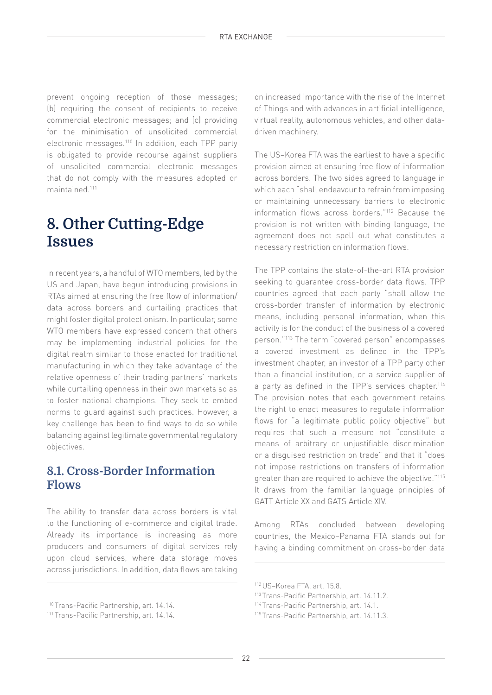prevent ongoing reception of those messages; (b) requiring the consent of recipients to receive commercial electronic messages; and (c) providing for the minimisation of unsolicited commercial electronic messages.110 In addition, each TPP party is obligated to provide recourse against suppliers of unsolicited commercial electronic messages that do not comply with the measures adopted or maintained.111

## **8. Other Cutting-Edge Issues**

In recent years, a handful of WTO members, led by the US and Japan, have begun introducing provisions in RTAs aimed at ensuring the free flow of information/ data across borders and curtailing practices that might foster digital protectionism. In particular, some WTO members have expressed concern that others may be implementing industrial policies for the digital realm similar to those enacted for traditional manufacturing in which they take advantage of the relative openness of their trading partners' markets while curtailing openness in their own markets so as to foster national champions. They seek to embed norms to guard against such practices. However, a key challenge has been to find ways to do so while balancing against legitimate governmental regulatory objectives.

#### **8.1. Cross-Border Information Flows**

The ability to transfer data across borders is vital to the functioning of e-commerce and digital trade. Already its importance is increasing as more producers and consumers of digital services rely upon cloud services, where data storage moves across jurisdictions. In addition, data flows are taking

on increased importance with the rise of the Internet of Things and with advances in artificial intelligence, virtual reality, autonomous vehicles, and other datadriven machinery.

The US–Korea FTA was the earliest to have a specific provision aimed at ensuring free flow of information across borders. The two sides agreed to language in which each "shall endeavour to refrain from imposing or maintaining unnecessary barriers to electronic information flows across borders."112 Because the provision is not written with binding language, the agreement does not spell out what constitutes a necessary restriction on information flows.

The TPP contains the state-of-the-art RTA provision seeking to guarantee cross-border data flows. TPP countries agreed that each party "shall allow the cross-border transfer of information by electronic means, including personal information, when this activity is for the conduct of the business of a covered person."113 The term "covered person" encompasses a covered investment as defined in the TPP's investment chapter, an investor of a TPP party other than a financial institution, or a service supplier of a party as defined in the TPP's services chapter.<sup>114</sup> The provision notes that each government retains the right to enact measures to regulate information flows for "a legitimate public policy objective" but requires that such a measure not "constitute a means of arbitrary or unjustifiable discrimination or a disguised restriction on trade" and that it "does not impose restrictions on transfers of information greater than are required to achieve the objective."115 It draws from the familiar language principles of GATT Article XX and GATS Article XIV.

Among RTAs concluded between developing countries, the Mexico–Panama FTA stands out for having a binding commitment on cross-border data

<sup>110</sup> Trans-Pacific Partnership, art. 14.14.

<sup>111</sup> Trans-Pacific Partnership, art. 14.14.

<sup>112</sup> US–Korea FTA, art. 15.8.

<sup>113</sup> Trans-Pacific Partnership, art. 14.11.2.

<sup>114</sup> Trans-Pacific Partnership, art. 14.1.

<sup>115</sup> Trans-Pacific Partnership, art. 14.11.3.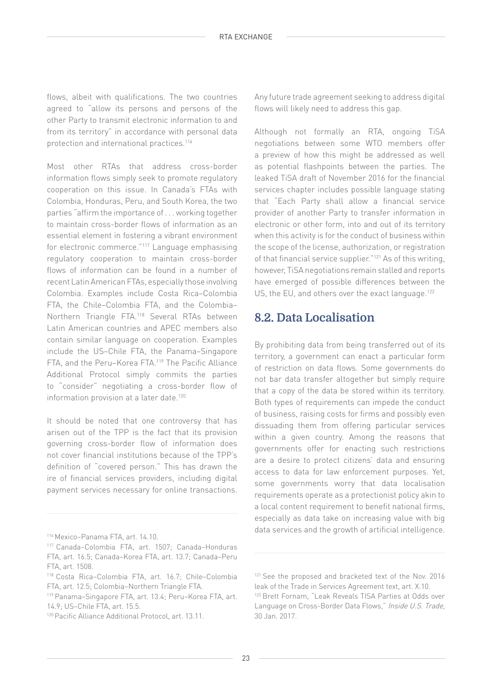flows, albeit with qualifications. The two countries agreed to "allow its persons and persons of the other Party to transmit electronic information to and from its territory" in accordance with personal data protection and international practices.116

Most other RTAs that address cross-border information flows simply seek to promote regulatory cooperation on this issue. In Canada's FTAs with Colombia, Honduras, Peru, and South Korea, the two parties "affirm the importance of . . . working together to maintain cross-border flows of information as an essential element in fostering a vibrant environment for electronic commerce."117 Language emphasising regulatory cooperation to maintain cross-border flows of information can be found in a number of recent Latin American FTAs, especially those involving Colombia. Examples include Costa Rica–Colombia FTA, the Chile–Colombia FTA, and the Colombia– Northern Triangle FTA.118 Several RTAs between Latin American countries and APEC members also contain similar language on cooperation. Examples include the US–Chile FTA, the Panama–Singapore FTA, and the Peru–Korea FTA.119 The Pacific Alliance Additional Protocol simply commits the parties to "consider" negotiating a cross-border flow of information provision at a later date.<sup>120</sup>

It should be noted that one controversy that has arisen out of the TPP is the fact that its provision governing cross-border flow of information does not cover financial institutions because of the TPP's definition of "covered person." This has drawn the ire of financial services providers, including digital payment services necessary for online transactions.

119 Panama–Singapore FTA, art. 13.4; Peru–Korea FTA, art. 14.9; US–Chile FTA, art. 15.5.

Any future trade agreement seeking to address digital flows will likely need to address this gap.

Although not formally an RTA, ongoing TiSA negotiations between some WTO members offer a preview of how this might be addressed as well as potential flashpoints between the parties. The leaked TiSA draft of November 2016 for the financial services chapter includes possible language stating that "Each Party shall allow a financial service provider of another Party to transfer information in electronic or other form, into and out of its territory when this activity is for the conduct of business within the scope of the license, authorization, or registration of that financial service supplier."121 As of this writing, however, TiSA negotiations remain stalled and reports have emerged of possible differences between the US, the EU, and others over the exact language.<sup>122</sup>

#### **8.2. Data Localisation**

By prohibiting data from being transferred out of its territory, a government can enact a particular form of restriction on data flows. Some governments do not bar data transfer altogether but simply require that a copy of the data be stored within its territory. Both types of requirements can impede the conduct of business, raising costs for firms and possibly even dissuading them from offering particular services within a given country. Among the reasons that governments offer for enacting such restrictions are a desire to protect citizens' data and ensuring access to data for law enforcement purposes. Yet, some governments worry that data localisation requirements operate as a protectionist policy akin to a local content requirement to benefit national firms, especially as data take on increasing value with big data services and the growth of artificial intelligence. 116 Mexico–Panama FTA, art. 14.10.

<sup>117</sup> Canada–Colombia FTA, art. 1507; Canada–Honduras FTA, art. 16.5; Canada–Korea FTA, art. 13.7; Canada–Peru FTA, art. 1508.

<sup>118</sup> Costa Rica–Colombia FTA, art. 16.7; Chile–Colombia FTA, art. 12.5; Colombia–Northern Triangle FTA.

<sup>&</sup>lt;sup>120</sup> Pacific Alliance Additional Protocol, art. 13.11.

<sup>&</sup>lt;sup>121</sup> See the proposed and bracketed text of the Nov. 2016 leak of the Trade in Services Agreement text, art. X.10.

<sup>122</sup> Brett Fornam, "Leak Reveals TISA Parties at Odds over Language on Cross-Border Data Flows," Inside U.S. Trade, 30 Jan. 2017.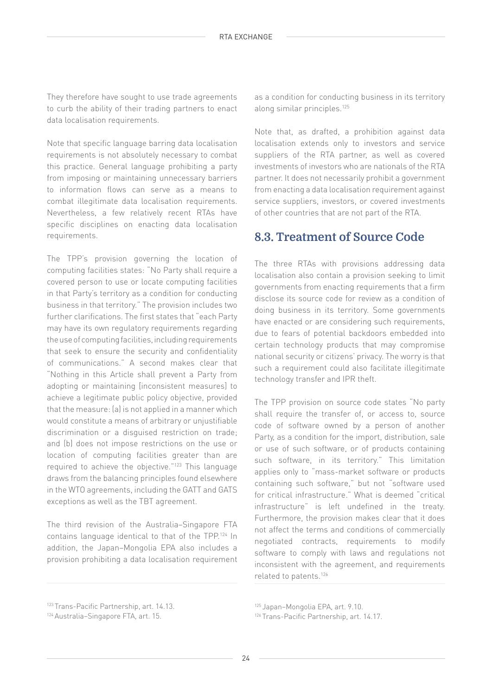They therefore have sought to use trade agreements to curb the ability of their trading partners to enact data localisation requirements.

Note that specific language barring data localisation requirements is not absolutely necessary to combat this practice. General language prohibiting a party from imposing or maintaining unnecessary barriers to information flows can serve as a means to combat illegitimate data localisation requirements. Nevertheless, a few relatively recent RTAs have specific disciplines on enacting data localisation requirements.

The TPP's provision governing the location of computing facilities states: "No Party shall require a covered person to use or locate computing facilities in that Party's territory as a condition for conducting business in that territory." The provision includes two further clarifications. The first states that "each Party may have its own regulatory requirements regarding the use of computing facilities, including requirements that seek to ensure the security and confidentiality of communications." A second makes clear that "Nothing in this Article shall prevent a Party from adopting or maintaining [inconsistent measures] to achieve a legitimate public policy objective, provided that the measure: (a) is not applied in a manner which would constitute a means of arbitrary or unjustifiable discrimination or a disguised restriction on trade; and (b) does not impose restrictions on the use or location of computing facilities greater than are required to achieve the objective."123 This language draws from the balancing principles found elsewhere in the WTO agreements, including the GATT and GATS exceptions as well as the TBT agreement.

The third revision of the Australia–Singapore FTA contains language identical to that of the TPP.124 In addition, the Japan–Mongolia EPA also includes a provision prohibiting a data localisation requirement

123 Trans-Pacific Partnership, art. 14.13.

as a condition for conducting business in its territory along similar principles.125

Note that, as drafted, a prohibition against data localisation extends only to investors and service suppliers of the RTA partner, as well as covered investments of investors who are nationals of the RTA partner. It does not necessarily prohibit a government from enacting a data localisation requirement against service suppliers, investors, or covered investments of other countries that are not part of the RTA.

#### **8.3. Treatment of Source Code**

The three RTAs with provisions addressing data localisation also contain a provision seeking to limit governments from enacting requirements that a firm disclose its source code for review as a condition of doing business in its territory. Some governments have enacted or are considering such requirements, due to fears of potential backdoors embedded into certain technology products that may compromise national security or citizens' privacy. The worry is that such a requirement could also facilitate illegitimate technology transfer and IPR theft.

The TPP provision on source code states "No party shall require the transfer of, or access to, source code of software owned by a person of another Party, as a condition for the import, distribution, sale or use of such software, or of products containing such software, in its territory." This limitation applies only to "mass-market software or products containing such software," but not "software used for critical infrastructure." What is deemed "critical infrastructure" is left undefined in the treaty. Furthermore, the provision makes clear that it does not affect the terms and conditions of commercially negotiated contracts, requirements to modify software to comply with laws and regulations not inconsistent with the agreement, and requirements related to patents.126

125 Japan–Mongolia EPA, art. 9.10.

126 Trans-Pacific Partnership, art. 14.17.

<sup>124</sup> Australia–Singapore FTA, art. 15.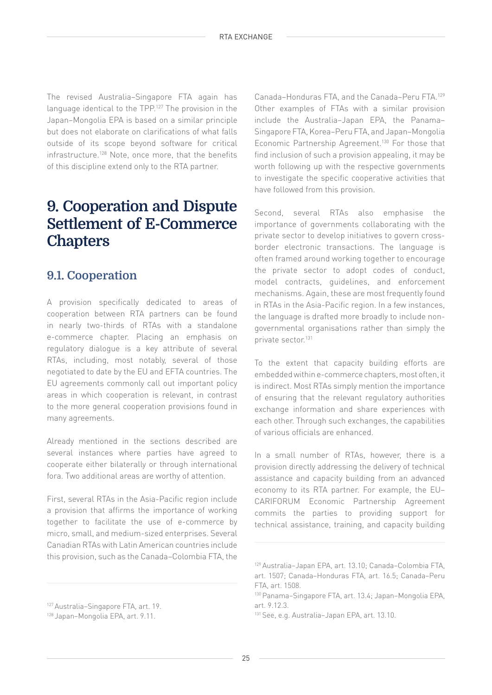The revised Australia–Singapore FTA again has language identical to the TPP.127 The provision in the Japan–Mongolia EPA is based on a similar principle but does not elaborate on clarifications of what falls outside of its scope beyond software for critical infrastructure.<sup>128</sup> Note, once more, that the benefits of this discipline extend only to the RTA partner.

## **9. Cooperation and Dispute Settlement of E-Commerce Chapters**

## **9.1. Cooperation**

A provision specifically dedicated to areas of cooperation between RTA partners can be found in nearly two-thirds of RTAs with a standalone e-commerce chapter. Placing an emphasis on regulatory dialogue is a key attribute of several RTAs, including, most notably, several of those negotiated to date by the EU and EFTA countries. The EU agreements commonly call out important policy areas in which cooperation is relevant, in contrast to the more general cooperation provisions found in many agreements.

Already mentioned in the sections described are several instances where parties have agreed to cooperate either bilaterally or through international fora. Two additional areas are worthy of attention.

First, several RTAs in the Asia-Pacific region include a provision that affirms the importance of working together to facilitate the use of e-commerce by micro, small, and medium-sized enterprises. Several Canadian RTAs with Latin American countries include this provision, such as the Canada–Colombia FTA, the

Canada–Honduras FTA, and the Canada–Peru FTA.129 Other examples of FTAs with a similar provision include the Australia–Japan EPA, the Panama– Singapore FTA, Korea–Peru FTA, and Japan–Mongolia Economic Partnership Agreement.130 For those that find inclusion of such a provision appealing, it may be worth following up with the respective governments to investigate the specific cooperative activities that have followed from this provision.

Second, several RTAs also emphasise the importance of governments collaborating with the private sector to develop initiatives to govern crossborder electronic transactions. The language is often framed around working together to encourage the private sector to adopt codes of conduct, model contracts, guidelines, and enforcement mechanisms. Again, these are most frequently found in RTAs in the Asia-Pacific region. In a few instances, the language is drafted more broadly to include nongovernmental organisations rather than simply the private sector.131

To the extent that capacity building efforts are embedded within e-commerce chapters, most often, it is indirect. Most RTAs simply mention the importance of ensuring that the relevant regulatory authorities exchange information and share experiences with each other. Through such exchanges, the capabilities of various officials are enhanced.

In a small number of RTAs, however, there is a provision directly addressing the delivery of technical assistance and capacity building from an advanced economy to its RTA partner. For example, the EU– CARIFORUM Economic Partnership Agreement commits the parties to providing support for technical assistance, training, and capacity building

<sup>127</sup> Australia–Singapore FTA, art. 19.

<sup>128</sup> Japan–Mongolia EPA, art. 9.11.

<sup>129</sup> Australia–Japan EPA, art. 13.10; Canada–Colombia FTA, art. 1507; Canada–Honduras FTA, art. 16.5; Canada–Peru FTA, art. 1508.

<sup>130</sup> Panama–Singapore FTA, art. 13.4; Japan–Mongolia EPA, art. 9.12.3.

<sup>131</sup> See, e.g. Australia–Japan EPA, art. 13.10.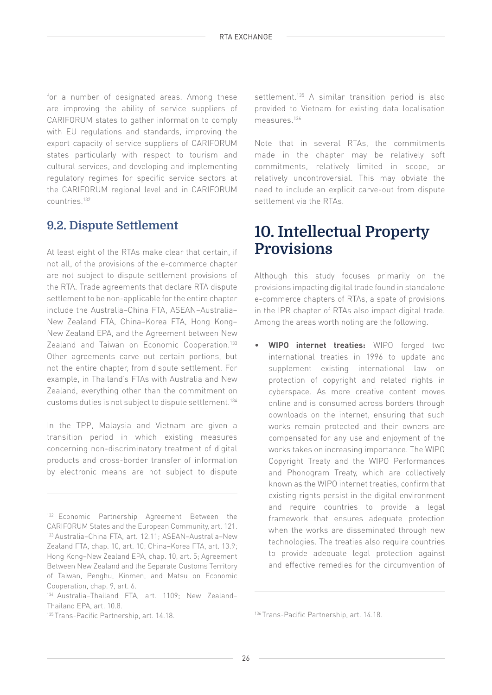for a number of designated areas. Among these are improving the ability of service suppliers of CARIFORUM states to gather information to comply with EU regulations and standards, improving the export capacity of service suppliers of CARIFORUM states particularly with respect to tourism and cultural services, and developing and implementing regulatory regimes for specific service sectors at the CARIFORUM regional level and in CARIFORUM countries.132

## **9.2. Dispute Settlement**

At least eight of the RTAs make clear that certain, if not all, of the provisions of the e-commerce chapter are not subject to dispute settlement provisions of the RTA. Trade agreements that declare RTA dispute settlement to be non-applicable for the entire chapter include the Australia–China FTA, ASEAN–Australia– New Zealand FTA, China–Korea FTA, Hong Kong– New Zealand EPA, and the Agreement between New Zealand and Taiwan on Economic Cooperation.<sup>133</sup> Other agreements carve out certain portions, but not the entire chapter, from dispute settlement. For example, in Thailand's FTAs with Australia and New Zealand, everything other than the commitment on customs duties is not subject to dispute settlement.134

In the TPP, Malaysia and Vietnam are given a transition period in which existing measures concerning non-discriminatory treatment of digital products and cross-border transfer of information by electronic means are not subject to dispute

settlement.<sup>135</sup> A similar transition period is also provided to Vietnam for existing data localisation measures.<sup>136</sup>

Note that in several RTAs, the commitments made in the chapter may be relatively soft commitments, relatively limited in scope, or relatively uncontroversial. This may obviate the need to include an explicit carve-out from dispute settlement via the RTAs.

## **10. Intellectual Property Provisions**

Although this study focuses primarily on the provisions impacting digital trade found in standalone e-commerce chapters of RTAs, a spate of provisions in the IPR chapter of RTAs also impact digital trade. Among the areas worth noting are the following.

• **WIPO internet treaties:** WIPO forged two international treaties in 1996 to update and supplement existing international law on protection of copyright and related rights in cyberspace. As more creative content moves online and is consumed across borders through downloads on the internet, ensuring that such works remain protected and their owners are compensated for any use and enjoyment of the works takes on increasing importance. The WIPO Copyright Treaty and the WIPO Performances and Phonogram Treaty, which are collectively known as the WIPO internet treaties, confirm that existing rights persist in the digital environment and require countries to provide a legal framework that ensures adequate protection when the works are disseminated through new technologies. The treaties also require countries to provide adequate legal protection against and effective remedies for the circumvention of

<sup>&</sup>lt;sup>132</sup> Economic Partnership Agreement Between the CARIFORUM States and the European Community, art. 121. 133 Australia–China FTA, art. 12.11; ASEAN–Australia–New Zealand FTA, chap. 10, art. 10; China–Korea FTA, art. 13.9; Hong Kong–New Zealand EPA, chap. 10, art. 5; Agreement Between New Zealand and the Separate Customs Territory of Taiwan, Penghu, Kinmen, and Matsu on Economic Cooperation, chap. 9, art. 6.

<sup>134</sup> Australia–Thailand FTA, art. 1109; New Zealand– Thailand EPA, art. 10.8.

<sup>&</sup>lt;sup>135</sup> Trans-Pacific Partnership, art. 14.18. 14.18. 136 Trans-Pacific Partnership, art. 14.18.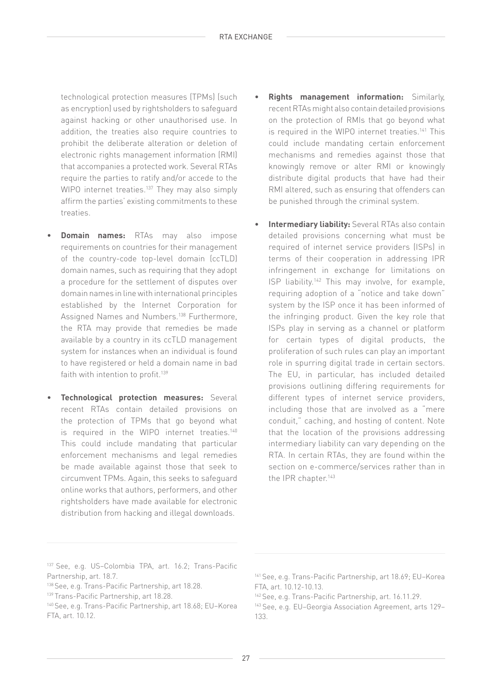technological protection measures (TPMs) (such as encryption) used by rightsholders to safeguard against hacking or other unauthorised use. In addition, the treaties also require countries to prohibit the deliberate alteration or deletion of electronic rights management information (RMI) that accompanies a protected work. Several RTAs require the parties to ratify and/or accede to the WIPO internet treaties.<sup>137</sup> They may also simply affirm the parties' existing commitments to these treaties.

- **Domain names:** RTAs may also impose requirements on countries for their management of the country-code top-level domain (ccTLD) domain names, such as requiring that they adopt a procedure for the settlement of disputes over domain names in line with international principles established by the Internet Corporation for Assigned Names and Numbers.<sup>138</sup> Furthermore, the RTA may provide that remedies be made available by a country in its ccTLD management system for instances when an individual is found to have registered or held a domain name in bad faith with intention to profit.<sup>139</sup>
- **Technological protection measures:** Several recent RTAs contain detailed provisions on the protection of TPMs that go beyond what is required in the WIPO internet treaties.<sup>140</sup> This could include mandating that particular enforcement mechanisms and legal remedies be made available against those that seek to circumvent TPMs. Again, this seeks to safeguard online works that authors, performers, and other rightsholders have made available for electronic distribution from hacking and illegal downloads.
- **Rights management information:** Similarly, recent RTAs might also contain detailed provisions on the protection of RMIs that go beyond what is required in the WIPO internet treaties.<sup>141</sup> This could include mandating certain enforcement mechanisms and remedies against those that knowingly remove or alter RMI or knowingly distribute digital products that have had their RMI altered, such as ensuring that offenders can be punished through the criminal system.
- **Intermediary liability:** Several RTAs also contain detailed provisions concerning what must be required of internet service providers (ISPs) in terms of their cooperation in addressing IPR infringement in exchange for limitations on ISP liability.142 This may involve, for example, requiring adoption of a "notice and take down" system by the ISP once it has been informed of the infringing product. Given the key role that ISPs play in serving as a channel or platform for certain types of digital products, the proliferation of such rules can play an important role in spurring digital trade in certain sectors. The EU, in particular, has included detailed provisions outlining differing requirements for different types of internet service providers, including those that are involved as a "mere conduit," caching, and hosting of content. Note that the location of the provisions addressing intermediary liability can vary depending on the RTA. In certain RTAs, they are found within the section on e-commerce/services rather than in the IPR chapter.<sup>143</sup>

<sup>137</sup> See, e.g. US–Colombia TPA, art. 16.2; Trans-Pacific Partnership, art. 18.7.

<sup>138</sup> See, e.g. Trans-Pacific Partnership, art 18.28.

<sup>139</sup> Trans-Pacific Partnership, art 18.28.

<sup>140</sup> See, e.g. Trans-Pacific Partnership, art 18.68; EU–Korea FTA, art. 10.12.

<sup>141</sup> See, e.g. Trans-Pacific Partnership, art 18.69; EU–Korea FTA, art. 10.12-10.13.

<sup>142</sup> See, e.g. Trans-Pacific Partnership, art. 16.11.29.

<sup>143</sup> See, e.g. EU–Georgia Association Agreement, arts 129– 133.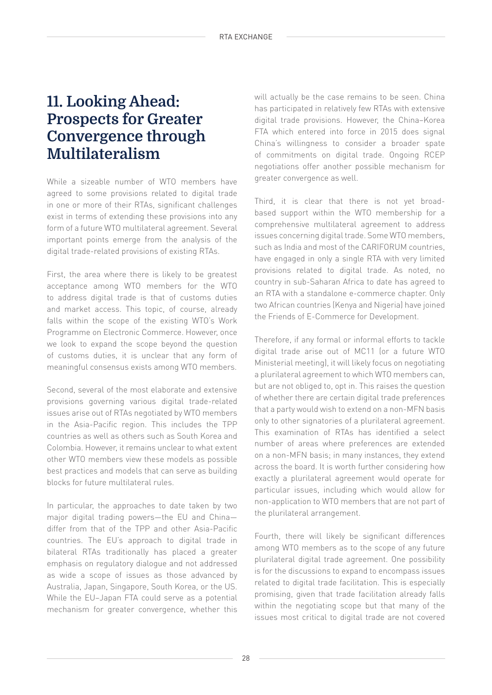## **11. Looking Ahead: Prospects for Greater Convergence through Multilateralism**

While a sizeable number of WTO members have agreed to some provisions related to digital trade in one or more of their RTAs, significant challenges exist in terms of extending these provisions into any form of a future WTO multilateral agreement. Several important points emerge from the analysis of the digital trade-related provisions of existing RTAs.

First, the area where there is likely to be greatest acceptance among WTO members for the WTO to address digital trade is that of customs duties and market access. This topic, of course, already falls within the scope of the existing WTO's Work Programme on Electronic Commerce. However, once we look to expand the scope beyond the question of customs duties, it is unclear that any form of meaningful consensus exists among WTO members.

Second, several of the most elaborate and extensive provisions governing various digital trade-related issues arise out of RTAs negotiated by WTO members in the Asia-Pacific region. This includes the TPP countries as well as others such as South Korea and Colombia. However, it remains unclear to what extent other WTO members view these models as possible best practices and models that can serve as building blocks for future multilateral rules.

In particular, the approaches to date taken by two major digital trading powers—the EU and China differ from that of the TPP and other Asia-Pacific countries. The EU's approach to digital trade in bilateral RTAs traditionally has placed a greater emphasis on regulatory dialogue and not addressed as wide a scope of issues as those advanced by Australia, Japan, Singapore, South Korea, or the US. While the EU–Japan FTA could serve as a potential mechanism for greater convergence, whether this

will actually be the case remains to be seen. China has participated in relatively few RTAs with extensive digital trade provisions. However, the China–Korea FTA which entered into force in 2015 does signal China's willingness to consider a broader spate of commitments on digital trade. Ongoing RCEP negotiations offer another possible mechanism for greater convergence as well.

Third, it is clear that there is not yet broadbased support within the WTO membership for a comprehensive multilateral agreement to address issues concerning digital trade. Some WTO members, such as India and most of the CARIFORUM countries, have engaged in only a single RTA with very limited provisions related to digital trade. As noted, no country in sub-Saharan Africa to date has agreed to an RTA with a standalone e-commerce chapter. Only two African countries (Kenya and Nigeria) have joined the Friends of E-Commerce for Development.

Therefore, if any formal or informal efforts to tackle digital trade arise out of MC11 (or a future WTO Ministerial meeting), it will likely focus on negotiating a plurilateral agreement to which WTO members can, but are not obliged to, opt in. This raises the question of whether there are certain digital trade preferences that a party would wish to extend on a non-MFN basis only to other signatories of a plurilateral agreement. This examination of RTAs has identified a select number of areas where preferences are extended on a non-MFN basis; in many instances, they extend across the board. It is worth further considering how exactly a plurilateral agreement would operate for particular issues, including which would allow for non-application to WTO members that are not part of the plurilateral arrangement.

Fourth, there will likely be significant differences among WTO members as to the scope of any future plurilateral digital trade agreement. One possibility is for the discussions to expand to encompass issues related to digital trade facilitation. This is especially promising, given that trade facilitation already falls within the negotiating scope but that many of the issues most critical to digital trade are not covered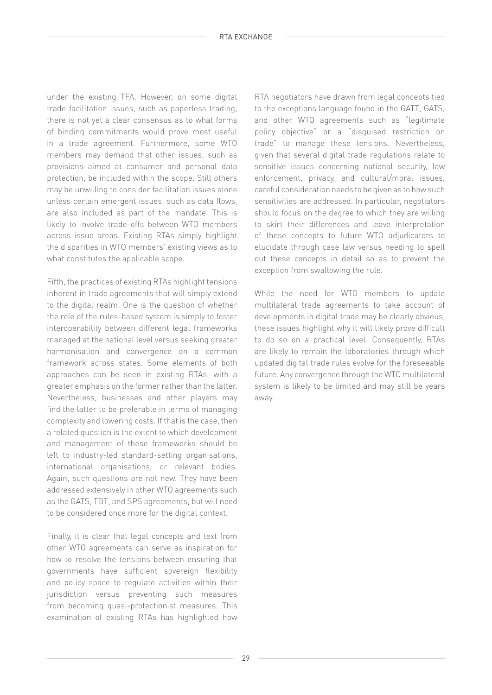under the existing TFA. However, on some digital trade facilitation issues, such as paperless trading, there is not yet a clear consensus as to what forms of binding commitments would prove most useful in a trade agreement. Furthermore, some WTO members may demand that other issues, such as provisions aimed at consumer and personal data protection, be included within the scope. Still others may be unwilling to consider facilitation issues alone unless certain emergent issues, such as data flows, are also included as part of the mandate. This is likely to involve trade-offs between WTO members across issue areas. Existing RTAs simply highlight the disparities in WTO members' existing views as to what constitutes the applicable scope.

Fifth, the practices of existing RTAs highlight tensions inherent in trade agreements that will simply extend to the digital realm. One is the question of whether the role of the rules-based system is simply to foster interoperability between different legal frameworks managed at the national level versus seeking greater harmonisation and convergence on a common framework across states. Some elements of both approaches can be seen in existing RTAs, with a greater emphasis on the former rather than the latter. Nevertheless, businesses and other players may find the latter to be preferable in terms of managing complexity and lowering costs. If that is the case, then a related question is the extent to which development and management of these frameworks should be left to industry-led standard-setting organisations, international organisations, or relevant bodies. Again, such questions are not new. They have been addressed extensively in other WTO agreements such as the GATS, TBT, and SPS agreements, but will need to be considered once more for the digital context.

Finally, it is clear that legal concepts and text from other WTO agreements can serve as inspiration for how to resolve the tensions between ensuring that governments have sufficient sovereign flexibility and policy space to regulate activities within their jurisdiction versus preventing such measures from becoming quasi-protectionist measures. This examination of existing RTAs has highlighted how

RTA negotiators have drawn from legal concepts tied to the exceptions language found in the GATT, GATS, and other WTO agreements such as "legitimate policy objective" or a "disguised restriction on trade" to manage these tensions. Nevertheless, given that several digital trade regulations relate to sensitive issues concerning national security, law enforcement, privacy, and cultural/moral issues, careful consideration needs to be given as to how such sensitivities are addressed. In particular, negotiators should focus on the degree to which they are willing to skirt their differences and leave interpretation of these concepts to future WTO adjudicators to elucidate through case law versus needing to spell out these concepts in detail so as to prevent the exception from swallowing the rule.

While the need for WTO members to update multilateral trade agreements to take account of developments in digital trade may be clearly obvious, these issues highlight why it will likely prove difficult to do so on a practical level. Consequently, RTAs are likely to remain the laboratories through which updated digital trade rules evolve for the foreseeable future. Any convergence through the WTO multilateral system is likely to be limited and may still be years away.